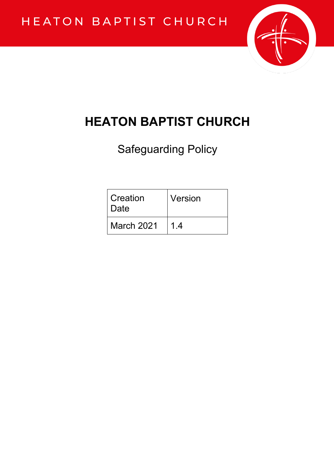

# **HEATON BAPTIST CHURCH**

Safeguarding Policy

| Creation<br>Date  | Version |
|-------------------|---------|
| <b>March 2021</b> | 14      |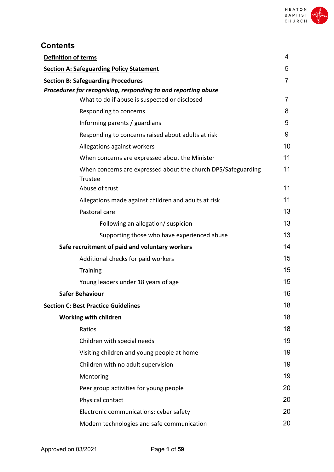

# **Contents**

| <b>Definition of terms</b>                                                      | 4  |
|---------------------------------------------------------------------------------|----|
| <b>Section A: Safeguarding Policy Statement</b>                                 | 5  |
| <b>Section B: Safeguarding Procedures</b>                                       | 7  |
| Procedures for recognising, responding to and reporting abuse                   |    |
| What to do if abuse is suspected or disclosed                                   | 7  |
| Responding to concerns                                                          | 8  |
| Informing parents / guardians                                                   | 9  |
| Responding to concerns raised about adults at risk                              | 9  |
| Allegations against workers                                                     | 10 |
| When concerns are expressed about the Minister                                  | 11 |
| When concerns are expressed about the church DPS/Safeguarding<br><b>Trustee</b> | 11 |
| Abuse of trust                                                                  | 11 |
| Allegations made against children and adults at risk                            | 11 |
| Pastoral care                                                                   | 13 |
| Following an allegation/ suspicion                                              | 13 |
| Supporting those who have experienced abuse                                     | 13 |
| Safe recruitment of paid and voluntary workers                                  | 14 |
| Additional checks for paid workers                                              | 15 |
| <b>Training</b>                                                                 | 15 |
| Young leaders under 18 years of age                                             | 15 |
| <b>Safer Behaviour</b>                                                          | 16 |
| <b>Section C: Best Practice Guidelines</b>                                      | 18 |
| <b>Working with children</b>                                                    | 18 |
| Ratios                                                                          | 18 |
| Children with special needs                                                     | 19 |
| Visiting children and young people at home                                      | 19 |
| Children with no adult supervision                                              | 19 |
| Mentoring                                                                       | 19 |
| Peer group activities for young people                                          | 20 |
| Physical contact                                                                | 20 |
| Electronic communications: cyber safety                                         | 20 |
| Modern technologies and safe communication                                      | 20 |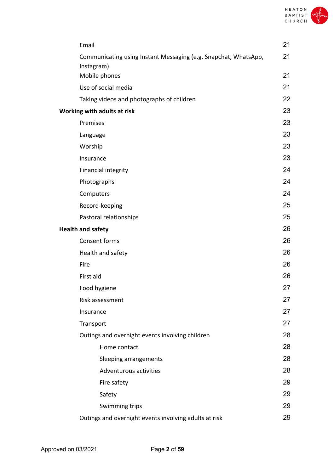

| Email                                                                         | 21 |
|-------------------------------------------------------------------------------|----|
| Communicating using Instant Messaging (e.g. Snapchat, WhatsApp,<br>Instagram) | 21 |
| Mobile phones                                                                 | 21 |
| Use of social media                                                           | 21 |
| Taking videos and photographs of children                                     | 22 |
| Working with adults at risk                                                   | 23 |
| Premises                                                                      | 23 |
| Language                                                                      | 23 |
| Worship                                                                       | 23 |
| Insurance                                                                     | 23 |
| Financial integrity                                                           | 24 |
| Photographs                                                                   | 24 |
| Computers                                                                     | 24 |
| Record-keeping                                                                | 25 |
| Pastoral relationships                                                        | 25 |
| <b>Health and safety</b>                                                      | 26 |
| Consent forms                                                                 | 26 |
| Health and safety                                                             | 26 |
| Fire                                                                          | 26 |
| First aid                                                                     | 26 |
| Food hygiene                                                                  | 27 |
| Risk assessment                                                               | 27 |
| Insurance                                                                     | 27 |
| Transport                                                                     | 27 |
| Outings and overnight events involving children                               | 28 |
| Home contact                                                                  | 28 |
| Sleeping arrangements                                                         | 28 |
| Adventurous activities                                                        | 28 |
| Fire safety                                                                   | 29 |
| Safety                                                                        | 29 |
| Swimming trips                                                                | 29 |
| Outings and overnight events involving adults at risk                         | 29 |
|                                                                               |    |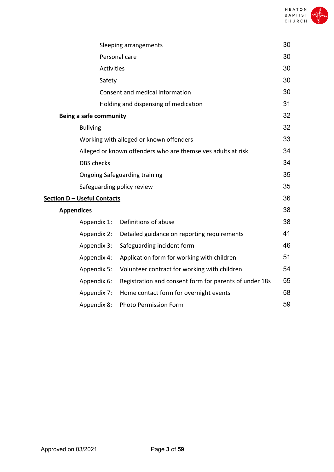

|                                    | Sleeping arrangements                                        | 30 |
|------------------------------------|--------------------------------------------------------------|----|
|                                    | Personal care                                                | 30 |
|                                    | <b>Activities</b>                                            | 30 |
| Safety                             |                                                              | 30 |
|                                    | Consent and medical information                              | 30 |
|                                    | Holding and dispensing of medication                         | 31 |
| Being a safe community             |                                                              | 32 |
| <b>Bullying</b>                    |                                                              | 32 |
|                                    | Working with alleged or known offenders                      | 33 |
|                                    | Alleged or known offenders who are themselves adults at risk |    |
| <b>DBS</b> checks                  |                                                              | 34 |
|                                    | <b>Ongoing Safeguarding training</b>                         | 35 |
|                                    | Safeguarding policy review                                   | 35 |
| <b>Section D - Useful Contacts</b> |                                                              | 36 |
| <b>Appendices</b>                  |                                                              | 38 |
| Appendix 1:                        | Definitions of abuse                                         | 38 |
| Appendix 2:                        | Detailed guidance on reporting requirements                  | 41 |
| Appendix 3:                        | Safeguarding incident form                                   | 46 |
| Appendix 4:                        | Application form for working with children                   | 51 |
| Appendix 5:                        | Volunteer contract for working with children                 | 54 |
| Appendix 6:                        | Registration and consent form for parents of under 18s       | 55 |
| Appendix 7:                        | Home contact form for overnight events                       | 58 |
| Appendix 8:                        | <b>Photo Permission Form</b>                                 | 59 |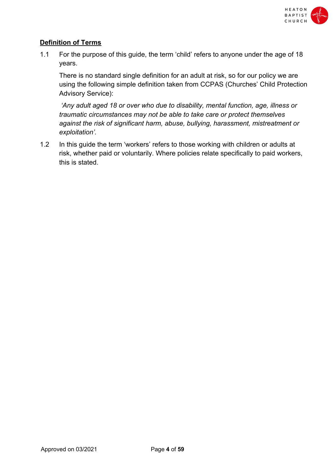

# **Definition of Terms**

1.1 For the purpose of this guide, the term 'child' refers to anyone under the age of 18 years.

There is no standard single definition for an adult at risk, so for our policy we are using the following simple definition taken from CCPAS (Churches' Child Protection Advisory Service):

*'Any adult aged 18 or over who due to disability, mental function, age, illness or traumatic circumstances may not be able to take care or protect themselves against the risk of significant harm, abuse, bullying, harassment, mistreatment or exploitation'.*

1.2 In this guide the term 'workers' refers to those working with children or adults at risk, whether paid or voluntarily. Where policies relate specifically to paid workers, this is stated.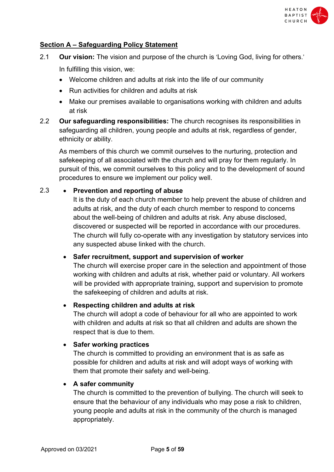

# **Section A – Safeguarding Policy Statement**

- 2.1 **Our vision:** The vision and purpose of the church is 'Loving God, living for others.' In fulfilling this vision, we:
	- Welcome children and adults at risk into the life of our community
	- Run activities for children and adults at risk
	- Make our premises available to organisations working with children and adults at risk
- 2.2 **Our safeguarding responsibilities:** The church recognises its responsibilities in safeguarding all children, young people and adults at risk, regardless of gender, ethnicity or ability.

As members of this church we commit ourselves to the nurturing, protection and safekeeping of all associated with the church and will pray for them regularly. In pursuit of this, we commit ourselves to this policy and to the development of sound procedures to ensure we implement our policy well.

# 2.3 • **Prevention and reporting of abuse**

It is the duty of each church member to help prevent the abuse of children and adults at risk, and the duty of each church member to respond to concerns about the well-being of children and adults at risk. Any abuse disclosed, discovered or suspected will be reported in accordance with our procedures. The church will fully co-operate with any investigation by statutory services into any suspected abuse linked with the church.

# • **Safer recruitment, support and supervision of worker**

The church will exercise proper care in the selection and appointment of those working with children and adults at risk, whether paid or voluntary. All workers will be provided with appropriate training, support and supervision to promote the safekeeping of children and adults at risk.

# • **Respecting children and adults at risk**

The church will adopt a code of behaviour for all who are appointed to work with children and adults at risk so that all children and adults are shown the respect that is due to them.

#### • **Safer working practices**

The church is committed to providing an environment that is as safe as possible for children and adults at risk and will adopt ways of working with them that promote their safety and well-being.

# • **A safer community**

The church is committed to the prevention of bullying. The church will seek to ensure that the behaviour of any individuals who may pose a risk to children, young people and adults at risk in the community of the church is managed appropriately.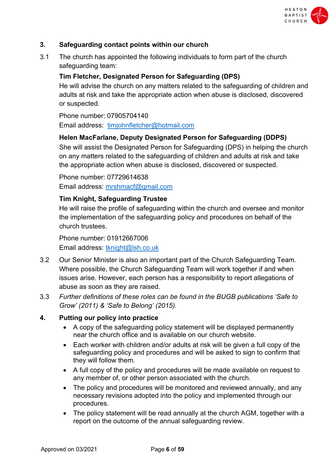

# **3. Safeguarding contact points within our church**

3.1 The church has appointed the following individuals to form part of the church safeguarding team:

# **Tim Fletcher, Designated Person for Safeguarding (DPS)**

He will advise the church on any matters related to the safeguarding of children and adults at risk and take the appropriate action when abuse is disclosed, discovered or suspected.

Phone number: 07905704140 Email address: timjohnfletcher@hotmail.com

# **Helen MacFarlane, Deputy Designated Person for Safeguarding (DDPS)**

She will assist the Designated Person for Safeguarding (DPS) in helping the church on any matters related to the safeguarding of children and adults at risk and take the appropriate action when abuse is disclosed, discovered or suspected.

Phone number: 07729614638 Email address: mrshmacf@gmail.com

# **Tim Knight, Safeguarding Trustee**

He will raise the profile of safeguarding within the church and oversee and monitor the implementation of the safeguarding policy and procedures on behalf of the church trustees.

Phone number: 01912667006 Email address: tknight@lsh.co.uk

- 3.2 Our Senior Minister is also an important part of the Church Safeguarding Team. Where possible, the Church Safeguarding Team will work together if and when issues arise. However, each person has a responsibility to report allegations of abuse as soon as they are raised.
- 3.3 *Further definitions of these roles can be found in the BUGB publications 'Safe to Grow' (2011) & 'Safe to Belong' (2015).*

# **4. Putting our policy into practice**

- A copy of the safeguarding policy statement will be displayed permanently near the church office and is available on our church website.
- Each worker with children and/or adults at risk will be given a full copy of the safeguarding policy and procedures and will be asked to sign to confirm that they will follow them.
- A full copy of the policy and procedures will be made available on request to any member of, or other person associated with the church.
- The policy and procedures will be monitored and reviewed annually, and any necessary revisions adopted into the policy and implemented through our procedures.
- The policy statement will be read annually at the church AGM, together with a report on the outcome of the annual safeguarding review.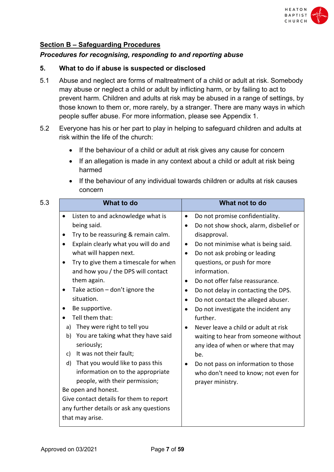

# **Section B – Safeguarding Procedures**

#### *Procedures for recognising, responding to and reporting abuse*

#### **5. What to do if abuse is suspected or disclosed**

- 5.1 Abuse and neglect are forms of maltreatment of a child or adult at risk. Somebody may abuse or neglect a child or adult by inflicting harm, or by failing to act to prevent harm. Children and adults at risk may be abused in a range of settings, by those known to them or, more rarely, by a stranger. There are many ways in which people suffer abuse. For more information, please see Appendix 1.
- 5.2 Everyone has his or her part to play in helping to safeguard children and adults at risk within the life of the church:
	- If the behaviour of a child or adult at risk gives any cause for concern
	- If an allegation is made in any context about a child or adult at risk being harmed
	- If the behaviour of any individual towards children or adults at risk causes concern

| 5.3<br><b>What to do</b>                                                                                                                                                                                                                                                                                                                                                                                                                                                                                                                        | What not to do                                                                                                                                                                                                                                                                                                                                                                                                                                                                                                                                                                                                           |
|-------------------------------------------------------------------------------------------------------------------------------------------------------------------------------------------------------------------------------------------------------------------------------------------------------------------------------------------------------------------------------------------------------------------------------------------------------------------------------------------------------------------------------------------------|--------------------------------------------------------------------------------------------------------------------------------------------------------------------------------------------------------------------------------------------------------------------------------------------------------------------------------------------------------------------------------------------------------------------------------------------------------------------------------------------------------------------------------------------------------------------------------------------------------------------------|
| Listen to and acknowledge what is<br>$\bullet$<br>being said.<br>Try to be reassuring & remain calm.<br>Explain clearly what you will do and<br>٠<br>what will happen next.<br>Try to give them a timescale for when<br>and how you / the DPS will contact<br>them again.<br>Take action $-$ don't ignore the<br>٠<br>situation.<br>Be supportive.<br>Tell them that:<br>They were right to tell you<br>a)<br>You are taking what they have said<br>b)<br>seriously;<br>It was not their fault;<br>c)<br>That you would like to pass this<br>d) | Do not promise confidentiality.<br>Do not show shock, alarm, disbelief or<br>$\bullet$<br>disapproval.<br>Do not minimise what is being said.<br>Do not ask probing or leading<br>$\bullet$<br>questions, or push for more<br>information.<br>Do not offer false reassurance.<br>Do not delay in contacting the DPS.<br>Do not contact the alleged abuser.<br>Do not investigate the incident any<br>$\bullet$<br>further.<br>Never leave a child or adult at risk<br>$\bullet$<br>waiting to hear from someone without<br>any idea of when or where that may<br>be.<br>Do not pass on information to those<br>$\bullet$ |
| information on to the appropriate<br>people, with their permission;<br>Be open and honest.<br>Give contact details for them to report<br>any further details or ask any questions<br>that may arise.                                                                                                                                                                                                                                                                                                                                            | who don't need to know; not even for<br>prayer ministry.                                                                                                                                                                                                                                                                                                                                                                                                                                                                                                                                                                 |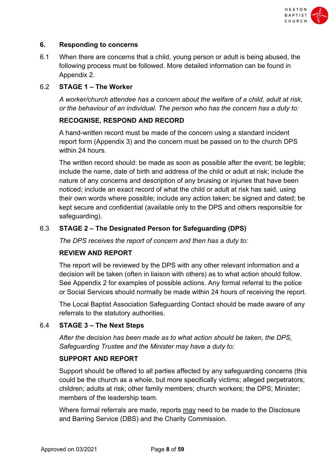

# **6. Responding to concerns**

6.1 When there are concerns that a child, young person or adult is being abused, the following process must be followed. More detailed information can be found in Appendix 2.

# 6.2 **STAGE 1 – The Worker**

*A worker/church attendee has a concern about the welfare of a child, adult at risk, or the behaviour of an individual. The person who has the concern has a duty to:*

# **RECOGNISE, RESPOND AND RECORD**

A hand-written record must be made of the concern using a standard incident report form (Appendix 3) and the concern must be passed on to the church DPS within 24 hours.

The written record should: be made as soon as possible after the event; be legible; include the name, date of birth and address of the child or adult at risk; include the nature of any concerns and description of any bruising or injuries that have been noticed; include an exact record of what the child or adult at risk has said, using their own words where possible; include any action taken; be signed and dated; be kept secure and confidential (available only to the DPS and others responsible for safeguarding).

# 6.3 **STAGE 2 – The Designated Person for Safeguarding (DPS)**

*The DPS receives the report of concern and then has a duty to:*

# **REVIEW AND REPORT**

The report will be reviewed by the DPS with any other relevant information and a decision will be taken (often in liaison with others) as to what action should follow. See Appendix 2 for examples of possible actions. Any formal referral to the police or Social Services should normally be made within 24 hours of receiving the report.

The Local Baptist Association Safeguarding Contact should be made aware of any referrals to the statutory authorities.

# 6.4 **STAGE 3 – The Next Steps**

*After the decision has been made as to what action should be taken, the DPS, Safeguarding Trustee and the Minister may have a duty to:*

# **SUPPORT AND REPORT**

Support should be offered to all parties affected by any safeguarding concerns (this could be the church as a whole, but more specifically victims; alleged perpetrators; children; adults at risk; other family members; church workers; the DPS; Minister; members of the leadership team.

Where formal referrals are made, reports may need to be made to the Disclosure and Barring Service (DBS) and the Charity Commission.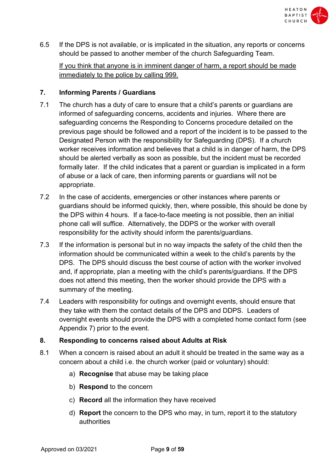

6.5 If the DPS is not available, or is implicated in the situation, any reports or concerns should be passed to another member of the church Safeguarding Team.

If you think that anyone is in imminent danger of harm, a report should be made immediately to the police by calling 999.

# **7. Informing Parents / Guardians**

- 7.1 The church has a duty of care to ensure that a child's parents or guardians are informed of safeguarding concerns, accidents and injuries. Where there are safeguarding concerns the Responding to Concerns procedure detailed on the previous page should be followed and a report of the incident is to be passed to the Designated Person with the responsibility for Safeguarding (DPS). If a church worker receives information and believes that a child is in danger of harm, the DPS should be alerted verbally as soon as possible, but the incident must be recorded formally later. If the child indicates that a parent or guardian is implicated in a form of abuse or a lack of care, then informing parents or guardians will not be appropriate.
- 7.2 In the case of accidents, emergencies or other instances where parents or guardians should be informed quickly, then, where possible, this should be done by the DPS within 4 hours. If a face-to-face meeting is not possible, then an initial phone call will suffice. Alternatively, the DDPS or the worker with overall responsibility for the activity should inform the parents/guardians.
- 7.3 If the information is personal but in no way impacts the safety of the child then the information should be communicated within a week to the child's parents by the DPS. The DPS should discuss the best course of action with the worker involved and, if appropriate, plan a meeting with the child's parents/guardians. If the DPS does not attend this meeting, then the worker should provide the DPS with a summary of the meeting.
- 7.4 Leaders with responsibility for outings and overnight events, should ensure that they take with them the contact details of the DPS and DDPS. Leaders of overnight events should provide the DPS with a completed home contact form (see Appendix 7) prior to the event.

# **8. Responding to concerns raised about Adults at Risk**

- 8.1 When a concern is raised about an adult it should be treated in the same way as a concern about a child i.e. the church worker (paid or voluntary) should:
	- a) **Recognise** that abuse may be taking place
	- b) **Respond** to the concern
	- c) **Record** all the information they have received
	- d) **Report** the concern to the DPS who may, in turn, report it to the statutory authorities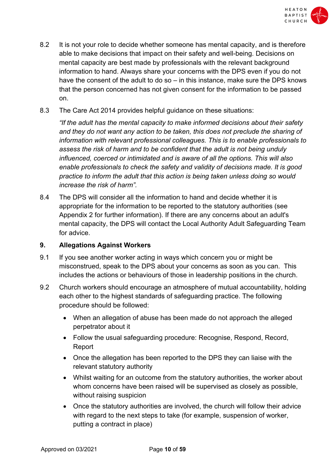

- 8.2 It is not your role to decide whether someone has mental capacity, and is therefore able to make decisions that impact on their safety and well-being. Decisions on mental capacity are best made by professionals with the relevant background information to hand. Always share your concerns with the DPS even if you do not have the consent of the adult to do so – in this instance, make sure the DPS knows that the person concerned has not given consent for the information to be passed on.
- 8.3 The Care Act 2014 provides helpful guidance on these situations:

*"If the adult has the mental capacity to make informed decisions about their safety and they do not want any action to be taken, this does not preclude the sharing of information with relevant professional colleagues. This is to enable professionals to assess the risk of harm and to be confident that the adult is not being unduly influenced, coerced or intimidated and is aware of all the options. This will also enable professionals to check the safety and validity of decisions made. It is good practice to inform the adult that this action is being taken unless doing so would increase the risk of harm".*

8.4 The DPS will consider all the information to hand and decide whether it is appropriate for the information to be reported to the statutory authorities (see Appendix 2 for further information). If there are any concerns about an adult's mental capacity, the DPS will contact the Local Authority Adult Safeguarding Team for advice.

# **9. Allegations Against Workers**

- 9.1 If you see another worker acting in ways which concern you or might be misconstrued, speak to the DPS about your concerns as soon as you can. This includes the actions or behaviours of those in leadership positions in the church.
- 9.2 Church workers should encourage an atmosphere of mutual accountability, holding each other to the highest standards of safeguarding practice. The following procedure should be followed:
	- When an allegation of abuse has been made do not approach the alleged perpetrator about it
	- Follow the usual safeguarding procedure: Recognise, Respond, Record, Report
	- Once the allegation has been reported to the DPS they can liaise with the relevant statutory authority
	- Whilst waiting for an outcome from the statutory authorities, the worker about whom concerns have been raised will be supervised as closely as possible, without raising suspicion
	- Once the statutory authorities are involved, the church will follow their advice with regard to the next steps to take (for example, suspension of worker, putting a contract in place)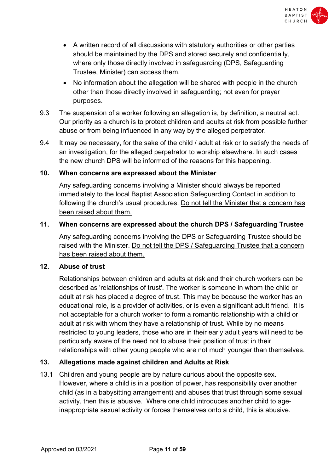

- A written record of all discussions with statutory authorities or other parties should be maintained by the DPS and stored securely and confidentially, where only those directly involved in safeguarding (DPS, Safeguarding Trustee, Minister) can access them.
- No information about the allegation will be shared with people in the church other than those directly involved in safeguarding; not even for prayer purposes.
- 9.3 The suspension of a worker following an allegation is, by definition, a neutral act. Our priority as a church is to protect children and adults at risk from possible further abuse or from being influenced in any way by the alleged perpetrator.
- 9.4 It may be necessary, for the sake of the child / adult at risk or to satisfy the needs of an investigation, for the alleged perpetrator to worship elsewhere. In such cases the new church DPS will be informed of the reasons for this happening.

# **10. When concerns are expressed about the Minister**

Any safeguarding concerns involving a Minister should always be reported immediately to the local Baptist Association Safeguarding Contact in addition to following the church's usual procedures. Do not tell the Minister that a concern has been raised about them.

# **11. When concerns are expressed about the church DPS / Safeguarding Trustee**

Any safeguarding concerns involving the DPS or Safeguarding Trustee should be raised with the Minister. Do not tell the DPS / Safeguarding Trustee that a concern has been raised about them.

# **12. Abuse of trust**

Relationships between children and adults at risk and their church workers can be described as 'relationships of trust'. The worker is someone in whom the child or adult at risk has placed a degree of trust. This may be because the worker has an educational role, is a provider of activities, or is even a significant adult friend. It is not acceptable for a church worker to form a romantic relationship with a child or adult at risk with whom they have a relationship of trust. While by no means restricted to young leaders, those who are in their early adult years will need to be particularly aware of the need not to abuse their position of trust in their relationships with other young people who are not much younger than themselves.

# **13. Allegations made against children and Adults at Risk**

13.1 Children and young people are by nature curious about the opposite sex. However, where a child is in a position of power, has responsibility over another child (as in a babysitting arrangement) and abuses that trust through some sexual activity, then this is abusive. Where one child introduces another child to ageinappropriate sexual activity or forces themselves onto a child, this is abusive.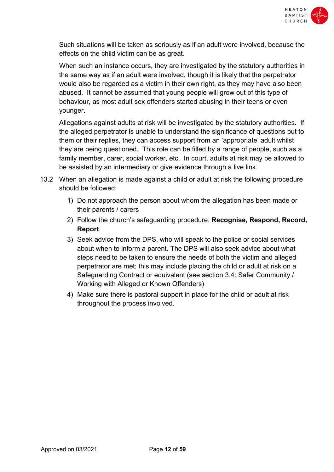

Such situations will be taken as seriously as if an adult were involved, because the effects on the child victim can be as great.

When such an instance occurs, they are investigated by the statutory authorities in the same way as if an adult were involved, though it is likely that the perpetrator would also be regarded as a victim in their own right, as they may have also been abused. It cannot be assumed that young people will grow out of this type of behaviour, as most adult sex offenders started abusing in their teens or even younger.

Allegations against adults at risk will be investigated by the statutory authorities. If the alleged perpetrator is unable to understand the significance of questions put to them or their replies, they can access support from an 'appropriate' adult whilst they are being questioned. This role can be filled by a range of people, such as a family member, carer, social worker, etc. In court, adults at risk may be allowed to be assisted by an intermediary or give evidence through a live link.

- 13.2 When an allegation is made against a child or adult at risk the following procedure should be followed:
	- 1) Do not approach the person about whom the allegation has been made or their parents / carers
	- 2) Follow the church's safeguarding procedure: **Recognise, Respond, Record, Report**
	- 3) Seek advice from the DPS, who will speak to the police or social services about when to inform a parent. The DPS will also seek advice about what steps need to be taken to ensure the needs of both the victim and alleged perpetrator are met; this may include placing the child or adult at risk on a Safeguarding Contract or equivalent (see section 3.4: Safer Community / Working with Alleged or Known Offenders)
	- 4) Make sure there is pastoral support in place for the child or adult at risk throughout the process involved.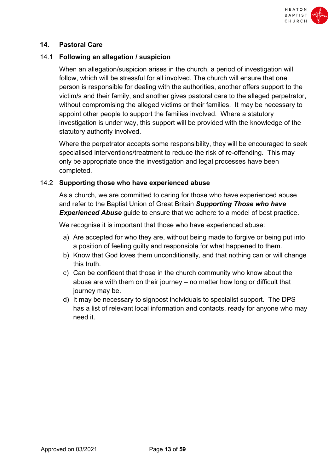

# **14. Pastoral Care**

#### 14.1 **Following an allegation / suspicion**

When an allegation/suspicion arises in the church, a period of investigation will follow, which will be stressful for all involved. The church will ensure that one person is responsible for dealing with the authorities, another offers support to the victim/s and their family, and another gives pastoral care to the alleged perpetrator, without compromising the alleged victims or their families. It may be necessary to appoint other people to support the families involved. Where a statutory investigation is under way, this support will be provided with the knowledge of the statutory authority involved.

Where the perpetrator accepts some responsibility, they will be encouraged to seek specialised interventions/treatment to reduce the risk of re-offending. This may only be appropriate once the investigation and legal processes have been completed.

#### 14.2 **Supporting those who have experienced abuse**

As a church, we are committed to caring for those who have experienced abuse and refer to the Baptist Union of Great Britain *Supporting Those who have*  **Experienced Abuse** guide to ensure that we adhere to a model of best practice.

We recognise it is important that those who have experienced abuse:

- a) Are accepted for who they are, without being made to forgive or being put into a position of feeling guilty and responsible for what happened to them.
- b) Know that God loves them unconditionally, and that nothing can or will change this truth.
- c) Can be confident that those in the church community who know about the abuse are with them on their journey – no matter how long or difficult that journey may be.
- d) It may be necessary to signpost individuals to specialist support. The DPS has a list of relevant local information and contacts, ready for anyone who may need it.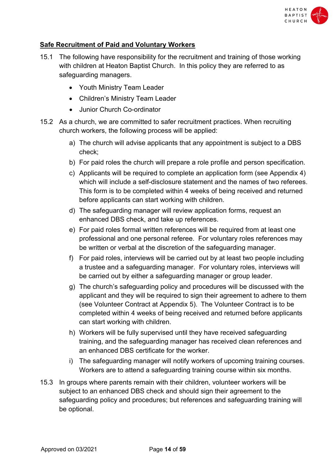

# **Safe Recruitment of Paid and Voluntary Workers**

- 15.1 The following have responsibility for the recruitment and training of those working with children at Heaton Baptist Church. In this policy they are referred to as safeguarding managers.
	- Youth Ministry Team Leader
	- Children's Ministry Team Leader
	- Junior Church Co-ordinator
- 15.2 As a church, we are committed to safer recruitment practices. When recruiting church workers, the following process will be applied:
	- a) The church will advise applicants that any appointment is subject to a DBS check;
	- b) For paid roles the church will prepare a role profile and person specification.
	- c) Applicants will be required to complete an application form (see Appendix 4) which will include a self-disclosure statement and the names of two referees. This form is to be completed within 4 weeks of being received and returned before applicants can start working with children.
	- d) The safeguarding manager will review application forms, request an enhanced DBS check, and take up references.
	- e) For paid roles formal written references will be required from at least one professional and one personal referee. For voluntary roles references may be written or verbal at the discretion of the safeguarding manager.
	- f) For paid roles, interviews will be carried out by at least two people including a trustee and a safeguarding manager. For voluntary roles, interviews will be carried out by either a safeguarding manager or group leader.
	- g) The church's safeguarding policy and procedures will be discussed with the applicant and they will be required to sign their agreement to adhere to them (see Volunteer Contract at Appendix 5). The Volunteer Contract is to be completed within 4 weeks of being received and returned before applicants can start working with children.
	- h) Workers will be fully supervised until they have received safeguarding training, and the safeguarding manager has received clean references and an enhanced DBS certificate for the worker.
	- i) The safeguarding manager will notify workers of upcoming training courses. Workers are to attend a safeguarding training course within six months.
- 15.3 In groups where parents remain with their children, volunteer workers will be subject to an enhanced DBS check and should sign their agreement to the safeguarding policy and procedures; but references and safeguarding training will be optional.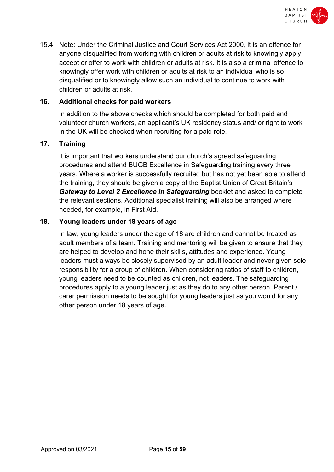

15.4 Note: Under the Criminal Justice and Court Services Act 2000, it is an offence for anyone disqualified from working with children or adults at risk to knowingly apply, accept or offer to work with children or adults at risk. It is also a criminal offence to knowingly offer work with children or adults at risk to an individual who is so disqualified or to knowingly allow such an individual to continue to work with children or adults at risk.

# **16. Additional checks for paid workers**

In addition to the above checks which should be completed for both paid and volunteer church workers, an applicant's UK residency status and/ or right to work in the UK will be checked when recruiting for a paid role.

# **17. Training**

It is important that workers understand our church's agreed safeguarding procedures and attend BUGB Excellence in Safeguarding training every three years. Where a worker is successfully recruited but has not yet been able to attend the training, they should be given a copy of the Baptist Union of Great Britain's *Gateway to Level 2 Excellence in Safeguarding* booklet and asked to complete the relevant sections. Additional specialist training will also be arranged where needed, for example, in First Aid.

# **18. Young leaders under 18 years of age**

In law, young leaders under the age of 18 are children and cannot be treated as adult members of a team. Training and mentoring will be given to ensure that they are helped to develop and hone their skills, attitudes and experience. Young leaders must always be closely supervised by an adult leader and never given sole responsibility for a group of children. When considering ratios of staff to children, young leaders need to be counted as children, not leaders. The safeguarding procedures apply to a young leader just as they do to any other person. Parent / carer permission needs to be sought for young leaders just as you would for any other person under 18 years of age.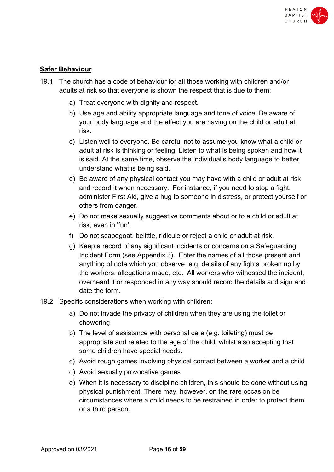

# **Safer Behaviour**

- 19.1 The church has a code of behaviour for all those working with children and/or adults at risk so that everyone is shown the respect that is due to them:
	- a) Treat everyone with dignity and respect.
	- b) Use age and ability appropriate language and tone of voice. Be aware of your body language and the effect you are having on the child or adult at risk.
	- c) Listen well to everyone. Be careful not to assume you know what a child or adult at risk is thinking or feeling. Listen to what is being spoken and how it is said. At the same time, observe the individual's body language to better understand what is being said.
	- d) Be aware of any physical contact you may have with a child or adult at risk and record it when necessary. For instance, if you need to stop a fight, administer First Aid, give a hug to someone in distress, or protect yourself or others from danger.
	- e) Do not make sexually suggestive comments about or to a child or adult at risk, even in 'fun'.
	- f) Do not scapegoat, belittle, ridicule or reject a child or adult at risk.
	- g) Keep a record of any significant incidents or concerns on a Safeguarding Incident Form (see Appendix 3). Enter the names of all those present and anything of note which you observe, e.g. details of any fights broken up by the workers, allegations made, etc. All workers who witnessed the incident, overheard it or responded in any way should record the details and sign and date the form.
- 19.2 Specific considerations when working with children:
	- a) Do not invade the privacy of children when they are using the toilet or showering
	- b) The level of assistance with personal care (e.g. toileting) must be appropriate and related to the age of the child, whilst also accepting that some children have special needs.
	- c) Avoid rough games involving physical contact between a worker and a child
	- d) Avoid sexually provocative games
	- e) When it is necessary to discipline children, this should be done without using physical punishment. There may, however, on the rare occasion be circumstances where a child needs to be restrained in order to protect them or a third person.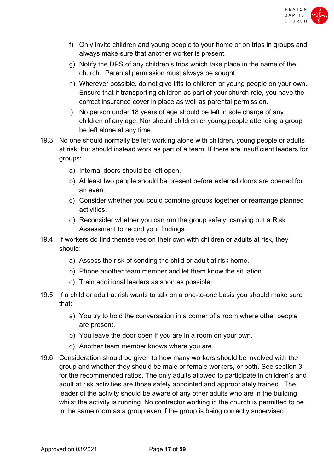

- f) Only invite children and young people to your home or on trips in groups and always make sure that another worker is present.
- g) Notify the DPS of any children's trips which take place in the name of the church. Parental permission must always be sought.
- h) Wherever possible, do not give lifts to children or young people on your own. Ensure that if transporting children as part of your church role, you have the correct insurance cover in place as well as parental permission.
- i) No person under 18 years of age should be left in sole charge of any children of any age. Nor should children or young people attending a group be left alone at any time.
- 19.3 No one should normally be left working alone with children, young people or adults at risk, but should instead work as part of a team. If there are insufficient leaders for groups:
	- a) Internal doors should be left open.
	- b) At least two people should be present before external doors are opened for an event.
	- c) Consider whether you could combine groups together or rearrange planned activities.
	- d) Reconsider whether you can run the group safely, carrying out a Risk Assessment to record your findings.
- 19.4 If workers do find themselves on their own with children or adults at risk, they should:
	- a) Assess the risk of sending the child or adult at risk home.
	- b) Phone another team member and let them know the situation.
	- c) Train additional leaders as soon as possible.
- 19.5 If a child or adult at risk wants to talk on a one-to-one basis you should make sure that:
	- a) You try to hold the conversation in a corner of a room where other people are present.
	- b) You leave the door open if you are in a room on your own.
	- c) Another team member knows where you are.
- 19.6 Consideration should be given to how many workers should be involved with the group and whether they should be male or female workers, or both. See section 3 for the recommended ratios. The only adults allowed to participate in children's and adult at risk activities are those safely appointed and appropriately trained. The leader of the activity should be aware of any other adults who are in the building whilst the activity is running. No contractor working in the church is permitted to be in the same room as a group even if the group is being correctly supervised.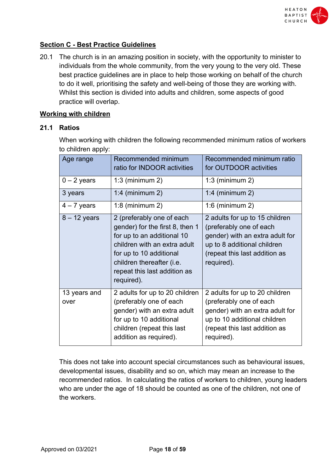

# **Section C - Best Practice Guidelines**

20.1 The church is in an amazing position in society, with the opportunity to minister to individuals from the whole community, from the very young to the very old. These best practice guidelines are in place to help those working on behalf of the church to do it well, prioritising the safety and well-being of those they are working with. Whilst this section is divided into adults and children, some aspects of good practice will overlap.

#### **Working with children**

#### **21.1 Ratios**

When working with children the following recommended minimum ratios of workers to children apply:

| Age range            | Recommended minimum<br>ratio for INDOOR activities                                                                                                                                                                               | Recommended minimum ratio<br>for OUTDOOR activities                                                                                                                         |
|----------------------|----------------------------------------------------------------------------------------------------------------------------------------------------------------------------------------------------------------------------------|-----------------------------------------------------------------------------------------------------------------------------------------------------------------------------|
| $0 - 2$ years        | $1:3$ (minimum 2)                                                                                                                                                                                                                | $1:3$ (minimum 2)                                                                                                                                                           |
| 3 years              | 1:4 (minimum $2$ )                                                                                                                                                                                                               | 1:4 (minimum $2$ )                                                                                                                                                          |
| $4 - 7$ years        | $1:8$ (minimum 2)                                                                                                                                                                                                                | $1:6$ (minimum 2)                                                                                                                                                           |
| $8 - 12$ years       | 2 (preferably one of each<br>gender) for the first 8, then 1<br>for up to an additional 10<br>children with an extra adult<br>for up to 10 additional<br>children thereafter (i.e.<br>repeat this last addition as<br>required). | 2 adults for up to 15 children<br>(preferably one of each<br>gender) with an extra adult for<br>up to 8 additional children<br>(repeat this last addition as<br>required).  |
| 13 years and<br>over | 2 adults for up to 20 children<br>(preferably one of each<br>gender) with an extra adult<br>for up to 10 additional<br>children (repeat this last<br>addition as required).                                                      | 2 adults for up to 20 children<br>(preferably one of each<br>gender) with an extra adult for<br>up to 10 additional children<br>(repeat this last addition as<br>required). |

This does not take into account special circumstances such as behavioural issues, developmental issues, disability and so on, which may mean an increase to the recommended ratios. In calculating the ratios of workers to children, young leaders who are under the age of 18 should be counted as one of the children, not one of the workers.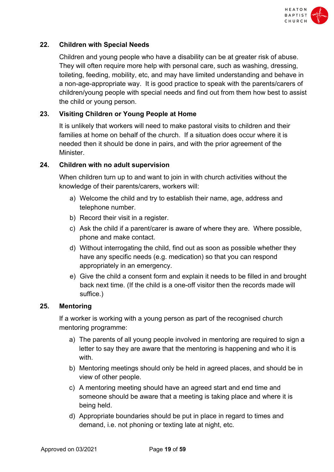

# **22. Children with Special Needs**

Children and young people who have a disability can be at greater risk of abuse. They will often require more help with personal care, such as washing, dressing, toileting, feeding, mobility, etc, and may have limited understanding and behave in a non-age-appropriate way. It is good practice to speak with the parents/carers of children/young people with special needs and find out from them how best to assist the child or young person.

# **23. Visiting Children or Young People at Home**

It is unlikely that workers will need to make pastoral visits to children and their families at home on behalf of the church. If a situation does occur where it is needed then it should be done in pairs, and with the prior agreement of the Minister.

#### **24. Children with no adult supervision**

When children turn up to and want to join in with church activities without the knowledge of their parents/carers, workers will:

- a) Welcome the child and try to establish their name, age, address and telephone number.
- b) Record their visit in a register.
- c) Ask the child if a parent/carer is aware of where they are. Where possible, phone and make contact.
- d) Without interrogating the child, find out as soon as possible whether they have any specific needs (e.g. medication) so that you can respond appropriately in an emergency.
- e) Give the child a consent form and explain it needs to be filled in and brought back next time. (If the child is a one-off visitor then the records made will suffice.)

#### **25. Mentoring**

If a worker is working with a young person as part of the recognised church mentoring programme:

- a) The parents of all young people involved in mentoring are required to sign a letter to say they are aware that the mentoring is happening and who it is with.
- b) Mentoring meetings should only be held in agreed places, and should be in view of other people.
- c) A mentoring meeting should have an agreed start and end time and someone should be aware that a meeting is taking place and where it is being held.
- d) Appropriate boundaries should be put in place in regard to times and demand, i.e. not phoning or texting late at night, etc.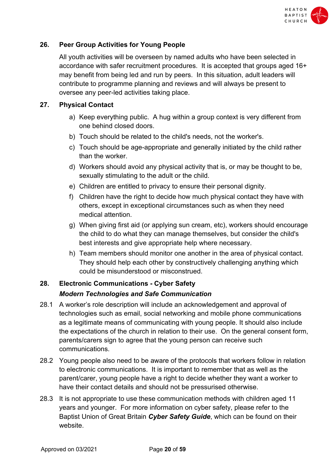

# **26. Peer Group Activities for Young People**

All youth activities will be overseen by named adults who have been selected in accordance with safer recruitment procedures. It is accepted that groups aged 16+ may benefit from being led and run by peers. In this situation, adult leaders will contribute to programme planning and reviews and will always be present to oversee any peer-led activities taking place.

# **27. Physical Contact**

- a) Keep everything public. A hug within a group context is very different from one behind closed doors.
- b) Touch should be related to the child's needs, not the worker's.
- c) Touch should be age-appropriate and generally initiated by the child rather than the worker.
- d) Workers should avoid any physical activity that is, or may be thought to be, sexually stimulating to the adult or the child.
- e) Children are entitled to privacy to ensure their personal dignity.
- f) Children have the right to decide how much physical contact they have with others, except in exceptional circumstances such as when they need medical attention.
- g) When giving first aid (or applying sun cream, etc), workers should encourage the child to do what they can manage themselves, but consider the child's best interests and give appropriate help where necessary.
- h) Team members should monitor one another in the area of physical contact. They should help each other by constructively challenging anything which could be misunderstood or misconstrued.

# **28. Electronic Communications - Cyber Safety** *Modern Technologies and Safe Communication*

- 28.1 A worker's role description will include an acknowledgement and approval of technologies such as email, social networking and mobile phone communications as a legitimate means of communicating with young people. It should also include the expectations of the church in relation to their use. On the general consent form, parents/carers sign to agree that the young person can receive such communications.
- 28.2 Young people also need to be aware of the protocols that workers follow in relation to electronic communications. It is important to remember that as well as the parent/carer, young people have a right to decide whether they want a worker to have their contact details and should not be pressurised otherwise.
- 28.3 It is not appropriate to use these communication methods with children aged 11 years and younger. For more information on cyber safety, please refer to the Baptist Union of Great Britain *Cyber Safety Guide*, which can be found on their website.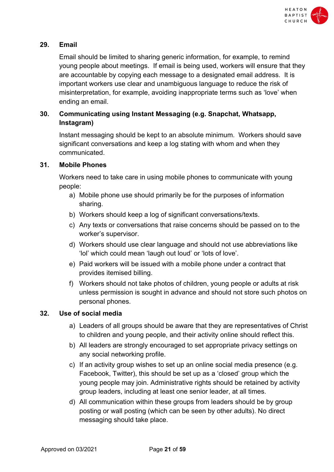

# **29. Email**

Email should be limited to sharing generic information, for example, to remind young people about meetings. If email is being used, workers will ensure that they are accountable by copying each message to a designated email address. It is important workers use clear and unambiguous language to reduce the risk of misinterpretation, for example, avoiding inappropriate terms such as 'love' when ending an email.

# **30. Communicating using Instant Messaging (e.g. Snapchat, Whatsapp, Instagram)**

Instant messaging should be kept to an absolute minimum. Workers should save significant conversations and keep a log stating with whom and when they communicated.

# **31. Mobile Phones**

Workers need to take care in using mobile phones to communicate with young people:

- a) Mobile phone use should primarily be for the purposes of information sharing.
- b) Workers should keep a log of significant conversations/texts.
- c) Any texts or conversations that raise concerns should be passed on to the worker's supervisor.
- d) Workers should use clear language and should not use abbreviations like 'lol' which could mean 'laugh out loud' or 'lots of love'.
- e) Paid workers will be issued with a mobile phone under a contract that provides itemised billing.
- f) Workers should not take photos of children, young people or adults at risk unless permission is sought in advance and should not store such photos on personal phones.

# **32. Use of social media**

- a) Leaders of all groups should be aware that they are representatives of Christ to children and young people, and their activity online should reflect this.
- b) All leaders are strongly encouraged to set appropriate privacy settings on any social networking profile.
- c) If an activity group wishes to set up an online social media presence (e.g. Facebook, Twitter), this should be set up as a 'closed' group which the young people may join. Administrative rights should be retained by activity group leaders, including at least one senior leader, at all times.
- d) All communication within these groups from leaders should be by group posting or wall posting (which can be seen by other adults). No direct messaging should take place.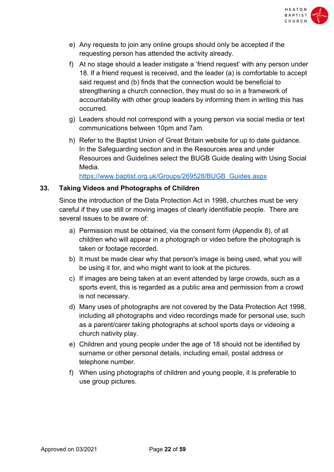

- e) Any requests to join any online groups should only be accepted if the requesting person has attended the activity already.
- f) At no stage should a leader instigate a 'friend request' with any person under 18. If a friend request is received, and the leader (a) is comfortable to accept said request and (b) finds that the connection would be beneficial to strengthening a church connection, they must do so in a framework of accountability with other group leaders by informing them in writing this has occurred.
- g) Leaders should not correspond with a young person via social media or text communications between 10pm and 7am.
- h) Refer to the Baptist Union of Great Britain website for up to date guidance. In the Safeguarding section and in the Resources area and under Resources and Guidelines select the BUGB Guide dealing with Using Social Media.

https://www.baptist.org.uk/Groups/269528/BUGB\_Guides.aspx

# **33. Taking Videos and Photographs of Children**

Since the introduction of the Data Protection Act in 1998, churches must be very careful if they use still or moving images of clearly identifiable people. There are several issues to be aware of:

- a) Permission must be obtained, via the consent form (Appendix 8), of all children who will appear in a photograph or video before the photograph is taken or footage recorded.
- b) It must be made clear why that person's image is being used, what you will be using it for, and who might want to look at the pictures.
- c) If images are being taken at an event attended by large crowds, such as a sports event, this is regarded as a public area and permission from a crowd is not necessary.
- d) Many uses of photographs are not covered by the Data Protection Act 1998, including all photographs and video recordings made for personal use, such as a parent/carer taking photographs at school sports days or videoing a church nativity play.
- e) Children and young people under the age of 18 should not be identified by surname or other personal details, including email, postal address or telephone number.
- f) When using photographs of children and young people, it is preferable to use group pictures.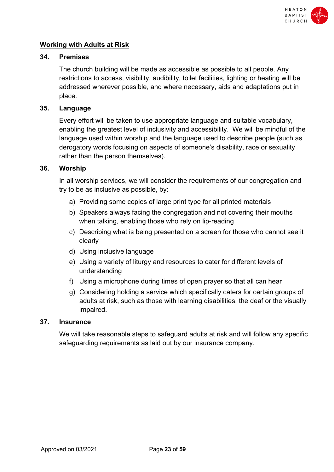

# **Working with Adults at Risk**

#### **34. Premises**

The church building will be made as accessible as possible to all people. Any restrictions to access, visibility, audibility, toilet facilities, lighting or heating will be addressed wherever possible, and where necessary, aids and adaptations put in place.

#### **35. Language**

Every effort will be taken to use appropriate language and suitable vocabulary, enabling the greatest level of inclusivity and accessibility. We will be mindful of the language used within worship and the language used to describe people (such as derogatory words focusing on aspects of someone's disability, race or sexuality rather than the person themselves).

#### **36. Worship**

In all worship services, we will consider the requirements of our congregation and try to be as inclusive as possible, by:

- a) Providing some copies of large print type for all printed materials
- b) Speakers always facing the congregation and not covering their mouths when talking, enabling those who rely on lip-reading
- c) Describing what is being presented on a screen for those who cannot see it clearly
- d) Using inclusive language
- e) Using a variety of liturgy and resources to cater for different levels of understanding
- f) Using a microphone during times of open prayer so that all can hear
- g) Considering holding a service which specifically caters for certain groups of adults at risk, such as those with learning disabilities, the deaf or the visually impaired.

#### **37. Insurance**

We will take reasonable steps to safeguard adults at risk and will follow any specific safeguarding requirements as laid out by our insurance company.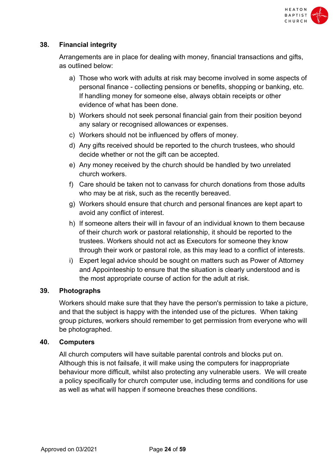

# **38. Financial integrity**

Arrangements are in place for dealing with money, financial transactions and gifts, as outlined below:

- a) Those who work with adults at risk may become involved in some aspects of personal finance - collecting pensions or benefits, shopping or banking, etc. If handling money for someone else, always obtain receipts or other evidence of what has been done.
- b) Workers should not seek personal financial gain from their position beyond any salary or recognised allowances or expenses.
- c) Workers should not be influenced by offers of money.
- d) Any gifts received should be reported to the church trustees, who should decide whether or not the gift can be accepted.
- e) Any money received by the church should be handled by two unrelated church workers.
- f) Care should be taken not to canvass for church donations from those adults who may be at risk, such as the recently bereaved.
- g) Workers should ensure that church and personal finances are kept apart to avoid any conflict of interest.
- h) If someone alters their will in favour of an individual known to them because of their church work or pastoral relationship, it should be reported to the trustees. Workers should not act as Executors for someone they know through their work or pastoral role, as this may lead to a conflict of interests.
- i) Expert legal advice should be sought on matters such as Power of Attorney and Appointeeship to ensure that the situation is clearly understood and is the most appropriate course of action for the adult at risk.

# **39. Photographs**

Workers should make sure that they have the person's permission to take a picture, and that the subject is happy with the intended use of the pictures. When taking group pictures, workers should remember to get permission from everyone who will be photographed.

#### **40. Computers**

All church computers will have suitable parental controls and blocks put on. Although this is not failsafe, it will make using the computers for inappropriate behaviour more difficult, whilst also protecting any vulnerable users. We will create a policy specifically for church computer use, including terms and conditions for use as well as what will happen if someone breaches these conditions.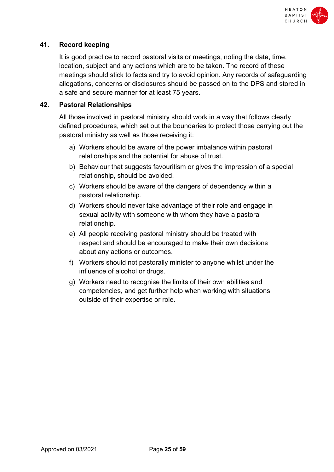

# **41. Record keeping**

It is good practice to record pastoral visits or meetings, noting the date, time, location, subject and any actions which are to be taken. The record of these meetings should stick to facts and try to avoid opinion. Any records of safeguarding allegations, concerns or disclosures should be passed on to the DPS and stored in a safe and secure manner for at least 75 years.

# **42. Pastoral Relationships**

All those involved in pastoral ministry should work in a way that follows clearly defined procedures, which set out the boundaries to protect those carrying out the pastoral ministry as well as those receiving it:

- a) Workers should be aware of the power imbalance within pastoral relationships and the potential for abuse of trust.
- b) Behaviour that suggests favouritism or gives the impression of a special relationship, should be avoided.
- c) Workers should be aware of the dangers of dependency within a pastoral relationship.
- d) Workers should never take advantage of their role and engage in sexual activity with someone with whom they have a pastoral relationship.
- e) All people receiving pastoral ministry should be treated with respect and should be encouraged to make their own decisions about any actions or outcomes.
- f) Workers should not pastorally minister to anyone whilst under the influence of alcohol or drugs.
- g) Workers need to recognise the limits of their own abilities and competencies, and get further help when working with situations outside of their expertise or role.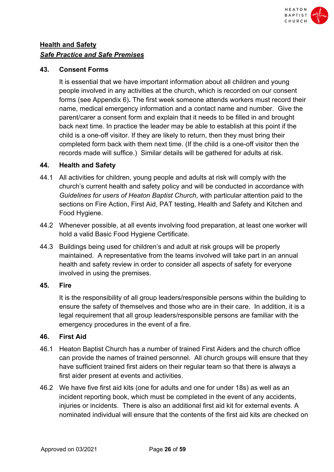

# **Health and Safety**  *Safe Practice and Safe Premises*

# **43. Consent Forms**

It is essential that we have important information about all children and young people involved in any activities at the church, which is recorded on our consent forms (see Appendix 6)**.** The first week someone attends workers must record their name, medical emergency information and a contact name and number. Give the parent/carer a consent form and explain that it needs to be filled in and brought back next time. In practice the leader may be able to establish at this point if the child is a one-off visitor. If they are likely to return, then they must bring their completed form back with them next time. (If the child is a one-off visitor then the records made will suffice.) Similar details will be gathered for adults at risk.

# **44. Health and Safety**

- 44.1 All activities for children, young people and adults at risk will comply with the church's current health and safety policy and will be conducted in accordance with *Guidelines for users of Heaton Baptist Church*, with particular attention paid to the sections on Fire Action, First Aid, PAT testing, Health and Safety and Kitchen and Food Hygiene.
- 44.2 Whenever possible, at all events involving food preparation, at least one worker will hold a valid Basic Food Hygiene Certificate.
- 44.3 Buildings being used for children's and adult at risk groups will be properly maintained. A representative from the teams involved will take part in an annual health and safety review in order to consider all aspects of safety for everyone involved in using the premises.

# **45. Fire**

It is the responsibility of all group leaders/responsible persons within the building to ensure the safety of themselves and those who are in their care. In addition, it is a legal requirement that all group leaders/responsible persons are familiar with the emergency procedures in the event of a fire.

# **46. First Aid**

- 46.1 Heaton Baptist Church has a number of trained First Aiders and the church office can provide the names of trained personnel. All church groups will ensure that they have sufficient trained first aiders on their regular team so that there is always a first aider present at events and activities.
- 46.2 We have five first aid kits (one for adults and one for under 18s) as well as an incident reporting book, which must be completed in the event of any accidents, injuries or incidents. There is also an additional first aid kit for external events. A nominated individual will ensure that the contents of the first aid kits are checked on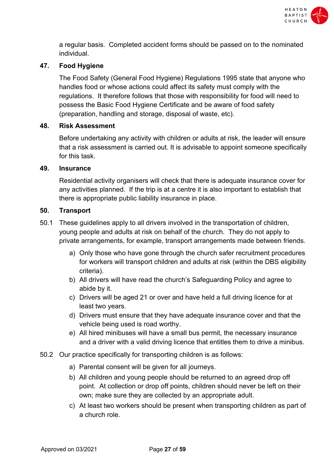

a regular basis. Completed accident forms should be passed on to the nominated individual.

# **47. Food Hygiene**

The Food Safety (General Food Hygiene) Regulations 1995 state that anyone who handles food or whose actions could affect its safety must comply with the regulations. It therefore follows that those with responsibility for food will need to possess the Basic Food Hygiene Certificate and be aware of food safety (preparation, handling and storage, disposal of waste, etc).

#### **48. Risk Assessment**

Before undertaking any activity with children or adults at risk, the leader will ensure that a risk assessment is carried out. It is advisable to appoint someone specifically for this task.

#### **49. Insurance**

Residential activity organisers will check that there is adequate insurance cover for any activities planned. If the trip is at a centre it is also important to establish that there is appropriate public liability insurance in place.

#### **50. Transport**

- 50.1 These guidelines apply to all drivers involved in the transportation of children, young people and adults at risk on behalf of the church. They do not apply to private arrangements, for example, transport arrangements made between friends.
	- a) Only those who have gone through the church safer recruitment procedures for workers will transport children and adults at risk (within the DBS eligibility criteria).
	- b) All drivers will have read the church's Safeguarding Policy and agree to abide by it.
	- c) Drivers will be aged 21 or over and have held a full driving licence for at least two years.
	- d) Drivers must ensure that they have adequate insurance cover and that the vehicle being used is road worthy.
	- e) All hired minibuses will have a small bus permit, the necessary insurance and a driver with a valid driving licence that entitles them to drive a minibus.
- 50.2 Our practice specifically for transporting children is as follows:
	- a) Parental consent will be given for all journeys.
	- b) All children and young people should be returned to an agreed drop off point. At collection or drop off points, children should never be left on their own; make sure they are collected by an appropriate adult.
	- c) At least two workers should be present when transporting children as part of a church role.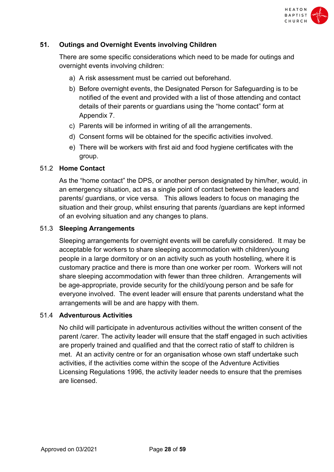

# **51. Outings and Overnight Events involving Children**

There are some specific considerations which need to be made for outings and overnight events involving children:

- a) A risk assessment must be carried out beforehand.
- b) Before overnight events, the Designated Person for Safeguarding is to be notified of the event and provided with a list of those attending and contact details of their parents or guardians using the "home contact" form at Appendix 7.
- c) Parents will be informed in writing of all the arrangements.
- d) Consent forms will be obtained for the specific activities involved.
- e) There will be workers with first aid and food hygiene certificates with the group.

#### 51.2 **Home Contact**

As the "home contact" the DPS, or another person designated by him/her, would, in an emergency situation, act as a single point of contact between the leaders and parents/ guardians, or vice versa. This allows leaders to focus on managing the situation and their group, whilst ensuring that parents /guardians are kept informed of an evolving situation and any changes to plans.

#### 51.3 **Sleeping Arrangements**

Sleeping arrangements for overnight events will be carefully considered. It may be acceptable for workers to share sleeping accommodation with children/young people in a large dormitory or on an activity such as youth hostelling, where it is customary practice and there is more than one worker per room. Workers will not share sleeping accommodation with fewer than three children. Arrangements will be age-appropriate, provide security for the child/young person and be safe for everyone involved. The event leader will ensure that parents understand what the arrangements will be and are happy with them.

#### 51.4 **Adventurous Activities**

No child will participate in adventurous activities without the written consent of the parent /carer. The activity leader will ensure that the staff engaged in such activities are properly trained and qualified and that the correct ratio of staff to children is met. At an activity centre or for an organisation whose own staff undertake such activities, if the activities come within the scope of the Adventure Activities Licensing Regulations 1996, the activity leader needs to ensure that the premises are licensed.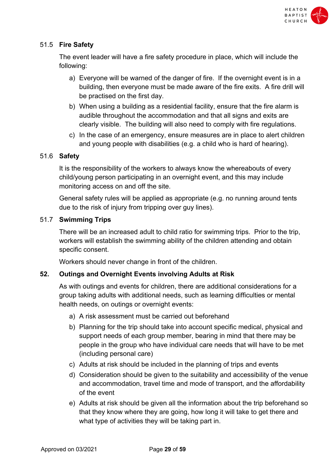

# 51.5 **Fire Safety**

The event leader will have a fire safety procedure in place, which will include the following:

- a) Everyone will be warned of the danger of fire. If the overnight event is in a building, then everyone must be made aware of the fire exits. A fire drill will be practised on the first day.
- b) When using a building as a residential facility, ensure that the fire alarm is audible throughout the accommodation and that all signs and exits are clearly visible. The building will also need to comply with fire regulations.
- c) In the case of an emergency, ensure measures are in place to alert children and young people with disabilities (e.g. a child who is hard of hearing).

# 51.6 **Safety**

It is the responsibility of the workers to always know the whereabouts of every child/young person participating in an overnight event, and this may include monitoring access on and off the site.

General safety rules will be applied as appropriate (e.g. no running around tents due to the risk of injury from tripping over guy lines).

#### 51.7 **Swimming Trips**

There will be an increased adult to child ratio for swimming trips. Prior to the trip, workers will establish the swimming ability of the children attending and obtain specific consent.

Workers should never change in front of the children.

# **52. Outings and Overnight Events involving Adults at Risk**

As with outings and events for children, there are additional considerations for a group taking adults with additional needs, such as learning difficulties or mental health needs, on outings or overnight events:

- a) A risk assessment must be carried out beforehand
- b) Planning for the trip should take into account specific medical, physical and support needs of each group member, bearing in mind that there may be people in the group who have individual care needs that will have to be met (including personal care)
- c) Adults at risk should be included in the planning of trips and events
- d) Consideration should be given to the suitability and accessibility of the venue and accommodation, travel time and mode of transport, and the affordability of the event
- e) Adults at risk should be given all the information about the trip beforehand so that they know where they are going, how long it will take to get there and what type of activities they will be taking part in.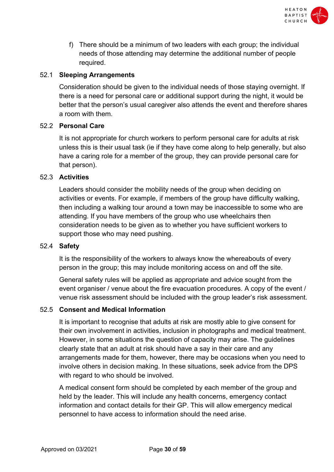

f) There should be a minimum of two leaders with each group; the individual needs of those attending may determine the additional number of people required.

# 52.1 **Sleeping Arrangements**

Consideration should be given to the individual needs of those staying overnight. If there is a need for personal care or additional support during the night, it would be better that the person's usual caregiver also attends the event and therefore shares a room with them.

# 52.2 **Personal Care**

It is not appropriate for church workers to perform personal care for adults at risk unless this is their usual task (ie if they have come along to help generally, but also have a caring role for a member of the group, they can provide personal care for that person).

#### 52.3 **Activities**

Leaders should consider the mobility needs of the group when deciding on activities or events. For example, if members of the group have difficulty walking, then including a walking tour around a town may be inaccessible to some who are attending. If you have members of the group who use wheelchairs then consideration needs to be given as to whether you have sufficient workers to support those who may need pushing.

#### 52.4 **Safety**

It is the responsibility of the workers to always know the whereabouts of every person in the group; this may include monitoring access on and off the site.

General safety rules will be applied as appropriate and advice sought from the event organiser / venue about the fire evacuation procedures. A copy of the event / venue risk assessment should be included with the group leader's risk assessment.

# 52.5 **Consent and Medical Information**

It is important to recognise that adults at risk are mostly able to give consent for their own involvement in activities, inclusion in photographs and medical treatment. However, in some situations the question of capacity may arise. The guidelines clearly state that an adult at risk should have a say in their care and any arrangements made for them, however, there may be occasions when you need to involve others in decision making. In these situations, seek advice from the DPS with regard to who should be involved.

A medical consent form should be completed by each member of the group and held by the leader. This will include any health concerns, emergency contact information and contact details for their GP. This will allow emergency medical personnel to have access to information should the need arise.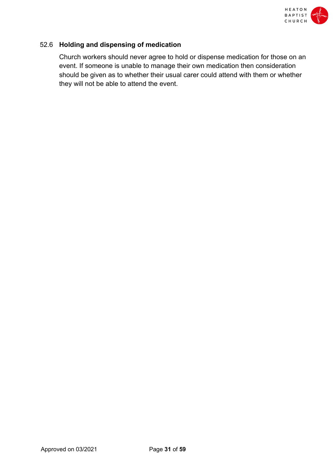

# 52.6 **Holding and dispensing of medication**

Church workers should never agree to hold or dispense medication for those on an event. If someone is unable to manage their own medication then consideration should be given as to whether their usual carer could attend with them or whether they will not be able to attend the event.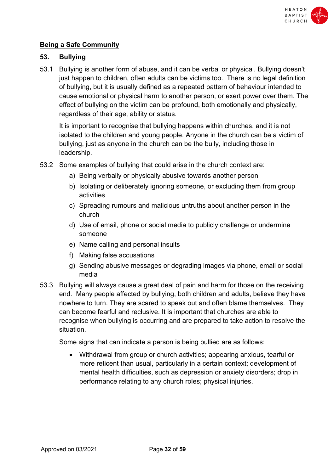

# **Being a Safe Community**

# **53. Bullying**

53.1 Bullying is another form of abuse, and it can be verbal or physical. Bullying doesn't just happen to children, often adults can be victims too. There is no legal definition of bullying, but it is usually defined as a repeated pattern of behaviour intended to cause emotional or physical harm to another person, or exert power over them. The effect of bullying on the victim can be profound, both emotionally and physically, regardless of their age, ability or status.

It is important to recognise that bullying happens within churches, and it is not isolated to the children and young people. Anyone in the church can be a victim of bullying, just as anyone in the church can be the bully, including those in leadership.

- 53.2 Some examples of bullying that could arise in the church context are:
	- a) Being verbally or physically abusive towards another person
	- b) Isolating or deliberately ignoring someone, or excluding them from group activities
	- c) Spreading rumours and malicious untruths about another person in the church
	- d) Use of email, phone or social media to publicly challenge or undermine someone
	- e) Name calling and personal insults
	- f) Making false accusations
	- g) Sending abusive messages or degrading images via phone, email or social media
- 53.3 Bullying will always cause a great deal of pain and harm for those on the receiving end. Many people affected by bullying, both children and adults, believe they have nowhere to turn. They are scared to speak out and often blame themselves. They can become fearful and reclusive. It is important that churches are able to recognise when bullying is occurring and are prepared to take action to resolve the situation.

Some signs that can indicate a person is being bullied are as follows:

• Withdrawal from group or church activities; appearing anxious, tearful or more reticent than usual, particularly in a certain context; development of mental health difficulties, such as depression or anxiety disorders; drop in performance relating to any church roles; physical injuries.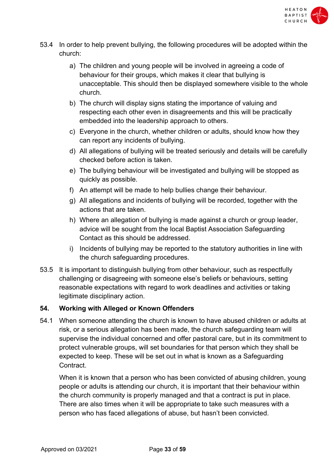

- 53.4 In order to help prevent bullying, the following procedures will be adopted within the church:
	- a) The children and young people will be involved in agreeing a code of behaviour for their groups, which makes it clear that bullying is unacceptable. This should then be displayed somewhere visible to the whole church.
	- b) The church will display signs stating the importance of valuing and respecting each other even in disagreements and this will be practically embedded into the leadership approach to others.
	- c) Everyone in the church, whether children or adults, should know how they can report any incidents of bullying.
	- d) All allegations of bullying will be treated seriously and details will be carefully checked before action is taken.
	- e) The bullying behaviour will be investigated and bullying will be stopped as quickly as possible.
	- f) An attempt will be made to help bullies change their behaviour.
	- g) All allegations and incidents of bullying will be recorded, together with the actions that are taken.
	- h) Where an allegation of bullying is made against a church or group leader, advice will be sought from the local Baptist Association Safeguarding Contact as this should be addressed.
	- i) Incidents of bullying may be reported to the statutory authorities in line with the church safeguarding procedures.
- 53.5 It is important to distinguish bullying from other behaviour, such as respectfully challenging or disagreeing with someone else's beliefs or behaviours, setting reasonable expectations with regard to work deadlines and activities or taking legitimate disciplinary action.

# **54. Working with Alleged or Known Offenders**

54.1 When someone attending the church is known to have abused children or adults at risk, or a serious allegation has been made, the church safeguarding team will supervise the individual concerned and offer pastoral care, but in its commitment to protect vulnerable groups, will set boundaries for that person which they shall be expected to keep. These will be set out in what is known as a Safeguarding Contract.

When it is known that a person who has been convicted of abusing children, young people or adults is attending our church, it is important that their behaviour within the church community is properly managed and that a contract is put in place. There are also times when it will be appropriate to take such measures with a person who has faced allegations of abuse, but hasn't been convicted.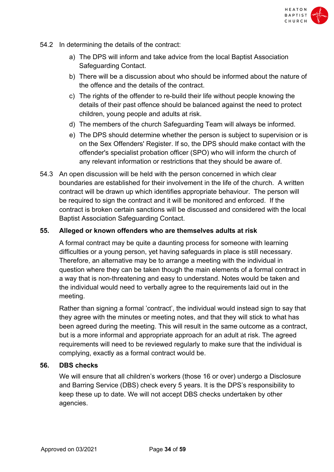

- 54.2 In determining the details of the contract:
	- a) The DPS will inform and take advice from the local Baptist Association Safeguarding Contact.
	- b) There will be a discussion about who should be informed about the nature of the offence and the details of the contract.
	- c) The rights of the offender to re-build their life without people knowing the details of their past offence should be balanced against the need to protect children, young people and adults at risk.
	- d) The members of the church Safeguarding Team will always be informed.
	- e) The DPS should determine whether the person is subject to supervision or is on the Sex Offenders' Register. If so, the DPS should make contact with the offender's specialist probation officer (SPO) who will inform the church of any relevant information or restrictions that they should be aware of.
- 54.3 An open discussion will be held with the person concerned in which clear boundaries are established for their involvement in the life of the church. A written contract will be drawn up which identifies appropriate behaviour. The person will be required to sign the contract and it will be monitored and enforced. If the contract is broken certain sanctions will be discussed and considered with the local Baptist Association Safeguarding Contact.

#### **55. Alleged or known offenders who are themselves adults at risk**

A formal contract may be quite a daunting process for someone with learning difficulties or a young person, yet having safeguards in place is still necessary. Therefore, an alternative may be to arrange a meeting with the individual in question where they can be taken though the main elements of a formal contract in a way that is non-threatening and easy to understand. Notes would be taken and the individual would need to verbally agree to the requirements laid out in the meeting.

Rather than signing a formal 'contract', the individual would instead sign to say that they agree with the minutes or meeting notes, and that they will stick to what has been agreed during the meeting. This will result in the same outcome as a contract, but is a more informal and appropriate approach for an adult at risk. The agreed requirements will need to be reviewed regularly to make sure that the individual is complying, exactly as a formal contract would be.

#### **56. DBS checks**

We will ensure that all children's workers (those 16 or over) undergo a Disclosure and Barring Service (DBS) check every 5 years. It is the DPS's responsibility to keep these up to date. We will not accept DBS checks undertaken by other agencies.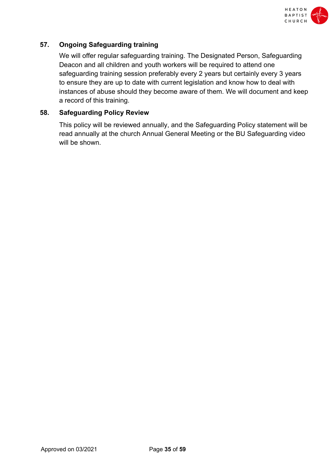

# **57. Ongoing Safeguarding training**

We will offer regular safeguarding training. The Designated Person, Safeguarding Deacon and all children and youth workers will be required to attend one safeguarding training session preferably every 2 years but certainly every 3 years to ensure they are up to date with current legislation and know how to deal with instances of abuse should they become aware of them. We will document and keep a record of this training.

#### **58. Safeguarding Policy Review**

This policy will be reviewed annually, and the Safeguarding Policy statement will be read annually at the church Annual General Meeting or the BU Safeguarding video will be shown.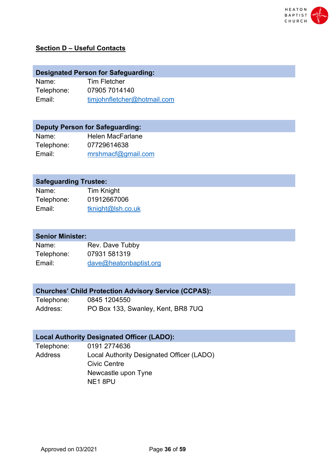

# **Section D – Useful Contacts**

|       | <b>Designated Person for Safeguarding:</b> |  |
|-------|--------------------------------------------|--|
| Name: | Tim Fletcher                               |  |

Telephone: Email: 07905 7014140 timjohnfletcher@hotmail.com

# **Deputy Person for Safeguarding:**

| Name:      | <b>Helen MacFarlane</b> |
|------------|-------------------------|
| Telephone: | 07729614638             |
| Email:     | mrshmacf@gmail.com      |

# **Safeguarding Trustee:**

| Name:      | Tim Knight        |
|------------|-------------------|
| Telephone: | 01912667006       |
| Email:     | tknight@lsh.co.uk |

# **Senior Minister:**

| Name:      | Rev. Dave Tubby        |
|------------|------------------------|
| Telephone: | 07931 581319           |
| Email:     | dave@heatonbaptist.org |

# **Churches' Child Protection Advisory Service (CCPAS):**

| Telephone: | 0845 1204550                       |
|------------|------------------------------------|
| Address:   | PO Box 133, Swanley, Kent, BR8 7UQ |

# **Local Authority Designated Officer (LADO):**

| Telephone:     | 0191 2774636                              |
|----------------|-------------------------------------------|
| <b>Address</b> | Local Authority Designated Officer (LADO) |
|                | Civic Centre                              |
|                | Newcastle upon Tyne                       |
|                | NE1 8PU                                   |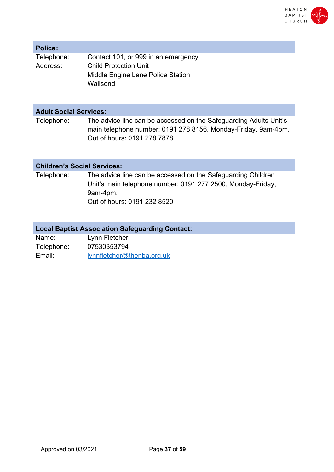

#### **Police:**

| Telephone: | Contact 101, or 999 in an emergency |
|------------|-------------------------------------|
| Address:   | <b>Child Protection Unit</b>        |
|            | Middle Engine Lane Police Station   |
|            | Wallsend                            |

# **Adult Social Services:**

Telephone: The advice line can be accessed on the Safeguarding Adults Unit's main telephone number: 0191 278 8156, Monday-Friday, 9am-4pm. Out of hours: 0191 278 7878

#### **Children's Social Services:**

Telephone: The advice line can be accessed on the Safeguarding Children Unit's main telephone number: 0191 277 2500, Monday-Friday, 9am-4pm.

Out of hours: 0191 232 8520

# **Local Baptist Association Safeguarding Contact:**

Name: Telephone: Email: Lynn Fletcher 07530353794 lynnfletcher@thenba.org.uk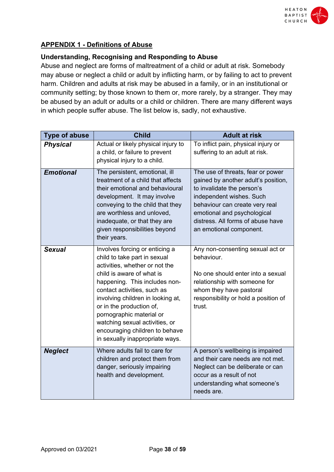

# **APPENDIX 1 - Definitions of Abuse**

# **Understanding, Recognising and Responding to Abuse**

Abuse and neglect are forms of maltreatment of a child or adult at risk. Somebody may abuse or neglect a child or adult by inflicting harm, or by failing to act to prevent harm. Children and adults at risk may be abused in a family, or in an institutional or community setting; by those known to them or, more rarely, by a stranger. They may be abused by an adult or adults or a child or children. There are many different ways in which people suffer abuse. The list below is, sadly, not exhaustive.

| <b>Type of abuse</b> | <b>Child</b>                                                                                                                                                                                                                                                                                                                                                                                      | <b>Adult at risk</b>                                                                                                                                                                                                                                                |
|----------------------|---------------------------------------------------------------------------------------------------------------------------------------------------------------------------------------------------------------------------------------------------------------------------------------------------------------------------------------------------------------------------------------------------|---------------------------------------------------------------------------------------------------------------------------------------------------------------------------------------------------------------------------------------------------------------------|
| <b>Physical</b>      | Actual or likely physical injury to<br>a child, or failure to prevent<br>physical injury to a child.                                                                                                                                                                                                                                                                                              | To inflict pain, physical injury or<br>suffering to an adult at risk.                                                                                                                                                                                               |
| <b>Emotional</b>     | The persistent, emotional, ill<br>treatment of a child that affects<br>their emotional and behavioural<br>development. It may involve<br>conveying to the child that they<br>are worthless and unloved,<br>inadequate, or that they are<br>given responsibilities beyond<br>their years.                                                                                                          | The use of threats, fear or power<br>gained by another adult's position,<br>to invalidate the person's<br>independent wishes. Such<br>behaviour can create very real<br>emotional and psychological<br>distress. All forms of abuse have<br>an emotional component. |
| <b>Sexual</b>        | Involves forcing or enticing a<br>child to take part in sexual<br>activities, whether or not the<br>child is aware of what is<br>happening. This includes non-<br>contact activities, such as<br>involving children in looking at,<br>or in the production of,<br>pornographic material or<br>watching sexual activities, or<br>encouraging children to behave<br>in sexually inappropriate ways. | Any non-consenting sexual act or<br>behaviour.<br>No one should enter into a sexual<br>relationship with someone for<br>whom they have pastoral<br>responsibility or hold a position of<br>trust.                                                                   |
| <b>Neglect</b>       | Where adults fail to care for<br>children and protect them from<br>danger, seriously impairing<br>health and development.                                                                                                                                                                                                                                                                         | A person's wellbeing is impaired<br>and their care needs are not met.<br>Neglect can be deliberate or can<br>occur as a result of not<br>understanding what someone's<br>needs are.                                                                                 |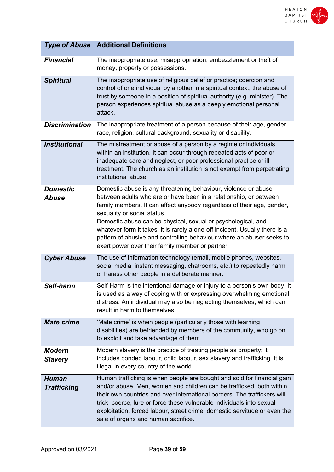

| <b>Type of Abuse</b>               | <b>Additional Definitions</b>                                                                                                                                                                                                                                                                                                                                                                                                                                                                                            |
|------------------------------------|--------------------------------------------------------------------------------------------------------------------------------------------------------------------------------------------------------------------------------------------------------------------------------------------------------------------------------------------------------------------------------------------------------------------------------------------------------------------------------------------------------------------------|
| <b>Financial</b>                   | The inappropriate use, misappropriation, embezzlement or theft of<br>money, property or possessions.                                                                                                                                                                                                                                                                                                                                                                                                                     |
| <b>Spiritual</b>                   | The inappropriate use of religious belief or practice; coercion and<br>control of one individual by another in a spiritual context; the abuse of<br>trust by someone in a position of spiritual authority (e.g. minister). The<br>person experiences spiritual abuse as a deeply emotional personal<br>attack.                                                                                                                                                                                                           |
| <b>Discrimination</b>              | The inappropriate treatment of a person because of their age, gender,<br>race, religion, cultural background, sexuality or disability.                                                                                                                                                                                                                                                                                                                                                                                   |
| <b>Institutional</b>               | The mistreatment or abuse of a person by a regime or individuals<br>within an institution. It can occur through repeated acts of poor or<br>inadequate care and neglect, or poor professional practice or ill-<br>treatment. The church as an institution is not exempt from perpetrating<br>institutional abuse.                                                                                                                                                                                                        |
| <b>Domestic</b><br><b>Abuse</b>    | Domestic abuse is any threatening behaviour, violence or abuse<br>between adults who are or have been in a relationship, or between<br>family members. It can affect anybody regardless of their age, gender,<br>sexuality or social status.<br>Domestic abuse can be physical, sexual or psychological, and<br>whatever form it takes, it is rarely a one-off incident. Usually there is a<br>pattern of abusive and controlling behaviour where an abuser seeks to<br>exert power over their family member or partner. |
| <b>Cyber Abuse</b>                 | The use of information technology (email, mobile phones, websites,<br>social media, instant messaging, chatrooms, etc.) to repeatedly harm<br>or harass other people in a deliberate manner.                                                                                                                                                                                                                                                                                                                             |
| Self-harm                          | Self-Harm is the intentional damage or injury to a person's own body. It<br>is used as a way of coping with or expressing overwhelming emotional<br>distress. An individual may also be neglecting themselves, which can<br>result in harm to themselves.                                                                                                                                                                                                                                                                |
| <b>Mate crime</b>                  | 'Mate crime' is when people (particularly those with learning<br>disabilities) are befriended by members of the community, who go on<br>to exploit and take advantage of them.                                                                                                                                                                                                                                                                                                                                           |
| <b>Modern</b><br><b>Slavery</b>    | Modern slavery is the practice of treating people as property; it<br>includes bonded labour, child labour, sex slavery and trafficking. It is<br>illegal in every country of the world.                                                                                                                                                                                                                                                                                                                                  |
| <b>Human</b><br><b>Trafficking</b> | Human trafficking is when people are bought and sold for financial gain<br>and/or abuse. Men, women and children can be trafficked, both within<br>their own countries and over international borders. The traffickers will<br>trick, coerce, lure or force these vulnerable individuals into sexual<br>exploitation, forced labour, street crime, domestic servitude or even the<br>sale of organs and human sacrifice.                                                                                                 |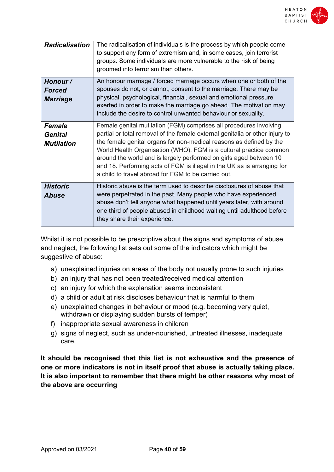

| <b>Radicalisation</b>                         | The radicalisation of individuals is the process by which people come<br>to support any form of extremism and, in some cases, join terrorist<br>groups. Some individuals are more vulnerable to the risk of being<br>groomed into terrorism than others.                                                                                                                                                                                                                                                |
|-----------------------------------------------|---------------------------------------------------------------------------------------------------------------------------------------------------------------------------------------------------------------------------------------------------------------------------------------------------------------------------------------------------------------------------------------------------------------------------------------------------------------------------------------------------------|
| Honour /<br><b>Forced</b><br><b>Marriage</b>  | An honour marriage / forced marriage occurs when one or both of the<br>spouses do not, or cannot, consent to the marriage. There may be<br>physical, psychological, financial, sexual and emotional pressure<br>exerted in order to make the marriage go ahead. The motivation may<br>include the desire to control unwanted behaviour or sexuality.                                                                                                                                                    |
| <b>Female</b><br>Genital<br><b>Mutilation</b> | Female genital mutilation (FGM) comprises all procedures involving<br>partial or total removal of the female external genitalia or other injury to<br>the female genital organs for non-medical reasons as defined by the<br>World Health Organisation (WHO). FGM is a cultural practice common<br>around the world and is largely performed on girls aged between 10<br>and 18. Performing acts of FGM is illegal in the UK as is arranging for<br>a child to travel abroad for FGM to be carried out. |
| <b>Historic</b><br>Abuse                      | Historic abuse is the term used to describe disclosures of abuse that<br>were perpetrated in the past. Many people who have experienced<br>abuse don't tell anyone what happened until years later, with around<br>one third of people abused in childhood waiting until adulthood before<br>they share their experience.                                                                                                                                                                               |

Whilst it is not possible to be prescriptive about the signs and symptoms of abuse and neglect, the following list sets out some of the indicators which might be suggestive of abuse:

- a) unexplained injuries on areas of the body not usually prone to such injuries
- b) an injury that has not been treated/received medical attention
- c) an injury for which the explanation seems inconsistent
- d) a child or adult at risk discloses behaviour that is harmful to them
- e) unexplained changes in behaviour or mood (e.g. becoming very quiet, withdrawn or displaying sudden bursts of temper)
- f) inappropriate sexual awareness in children
- g) signs of neglect, such as under-nourished, untreated illnesses, inadequate care.

**It should be recognised that this list is not exhaustive and the presence of one or more indicators is not in itself proof that abuse is actually taking place. It is also important to remember that there might be other reasons why most of the above are occurring**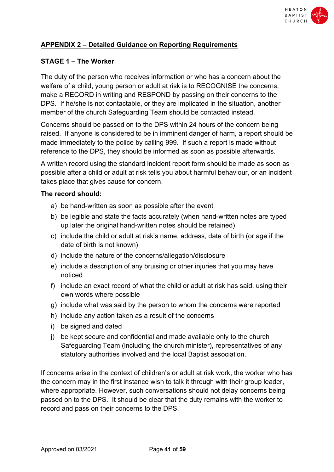

# **APPENDIX 2 – Detailed Guidance on Reporting Requirements**

# **STAGE 1 – The Worker**

The duty of the person who receives information or who has a concern about the welfare of a child, young person or adult at risk is to RECOGNISE the concerns, make a RECORD in writing and RESPOND by passing on their concerns to the DPS. If he/she is not contactable, or they are implicated in the situation, another member of the church Safeguarding Team should be contacted instead.

Concerns should be passed on to the DPS within 24 hours of the concern being raised. If anyone is considered to be in imminent danger of harm, a report should be made immediately to the police by calling 999. If such a report is made without reference to the DPS, they should be informed as soon as possible afterwards.

A written record using the standard incident report form should be made as soon as possible after a child or adult at risk tells you about harmful behaviour, or an incident takes place that gives cause for concern.

#### **The record should:**

- a) be hand-written as soon as possible after the event
- b) be legible and state the facts accurately (when hand-written notes are typed up later the original hand-written notes should be retained)
- c) include the child or adult at risk's name, address, date of birth (or age if the date of birth is not known)
- d) include the nature of the concerns/allegation/disclosure
- e) include a description of any bruising or other injuries that you may have noticed
- f) include an exact record of what the child or adult at risk has said, using their own words where possible
- g) include what was said by the person to whom the concerns were reported
- h) include any action taken as a result of the concerns
- i) be signed and dated
- j) be kept secure and confidential and made available only to the church Safeguarding Team (including the church minister), representatives of any statutory authorities involved and the local Baptist association.

If concerns arise in the context of children's or adult at risk work, the worker who has the concern may in the first instance wish to talk it through with their group leader, where appropriate. However, such conversations should not delay concerns being passed on to the DPS. It should be clear that the duty remains with the worker to record and pass on their concerns to the DPS.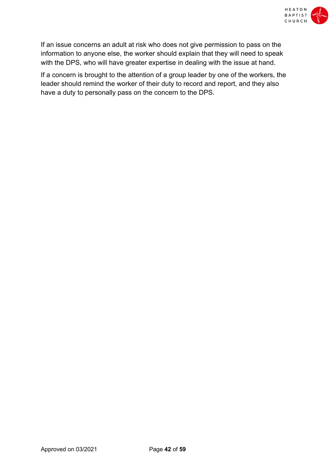

If an issue concerns an adult at risk who does not give permission to pass on the information to anyone else, the worker should explain that they will need to speak with the DPS, who will have greater expertise in dealing with the issue at hand.

If a concern is brought to the attention of a group leader by one of the workers, the leader should remind the worker of their duty to record and report, and they also have a duty to personally pass on the concern to the DPS.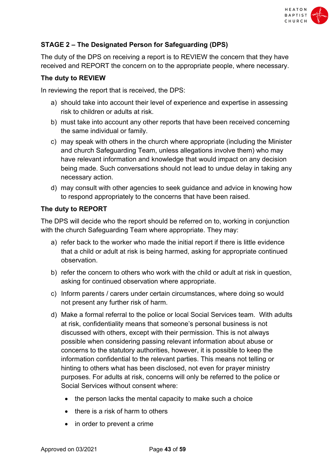

# **STAGE 2 – The Designated Person for Safeguarding (DPS)**

The duty of the DPS on receiving a report is to REVIEW the concern that they have received and REPORT the concern on to the appropriate people, where necessary.

# **The duty to REVIEW**

In reviewing the report that is received, the DPS:

- a) should take into account their level of experience and expertise in assessing risk to children or adults at risk.
- b) must take into account any other reports that have been received concerning the same individual or family.
- c) may speak with others in the church where appropriate (including the Minister and church Safeguarding Team, unless allegations involve them) who may have relevant information and knowledge that would impact on any decision being made. Such conversations should not lead to undue delay in taking any necessary action.
- d) may consult with other agencies to seek guidance and advice in knowing how to respond appropriately to the concerns that have been raised.

# **The duty to REPORT**

The DPS will decide who the report should be referred on to, working in conjunction with the church Safeguarding Team where appropriate. They may:

- a) refer back to the worker who made the initial report if there is little evidence that a child or adult at risk is being harmed, asking for appropriate continued observation.
- b) refer the concern to others who work with the child or adult at risk in question, asking for continued observation where appropriate.
- c) Inform parents / carers under certain circumstances, where doing so would not present any further risk of harm.
- d) Make a formal referral to the police or local Social Services team. With adults at risk, confidentiality means that someone's personal business is not discussed with others, except with their permission. This is not always possible when considering passing relevant information about abuse or concerns to the statutory authorities, however, it is possible to keep the information confidential to the relevant parties. This means not telling or hinting to others what has been disclosed, not even for prayer ministry purposes. For adults at risk, concerns will only be referred to the police or Social Services without consent where:
	- the person lacks the mental capacity to make such a choice
	- there is a risk of harm to others
	- in order to prevent a crime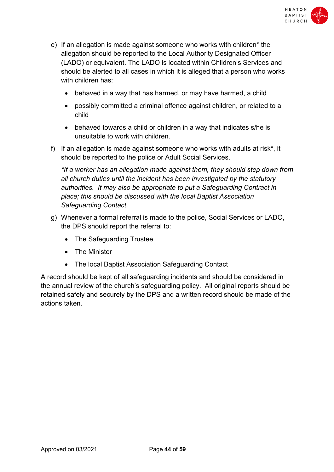

- e) If an allegation is made against someone who works with children\* the allegation should be reported to the Local Authority Designated Officer (LADO) or equivalent. The LADO is located within Children's Services and should be alerted to all cases in which it is alleged that a person who works with children has:
	- behaved in a way that has harmed, or may have harmed, a child
	- possibly committed a criminal offence against children, or related to a child
	- behaved towards a child or children in a way that indicates s/he is unsuitable to work with children.
- f) If an allegation is made against someone who works with adults at risk\*, it should be reported to the police or Adult Social Services.

*\*If a worker has an allegation made against them, they should step down from all church duties until the incident has been investigated by the statutory authorities. It may also be appropriate to put a Safeguarding Contract in place; this should be discussed with the local Baptist Association Safeguarding Contact.*

- g) Whenever a formal referral is made to the police, Social Services or LADO, the DPS should report the referral to:
	- The Safeguarding Trustee
	- The Minister
	- The local Baptist Association Safeguarding Contact

A record should be kept of all safeguarding incidents and should be considered in the annual review of the church's safeguarding policy. All original reports should be retained safely and securely by the DPS and a written record should be made of the actions taken.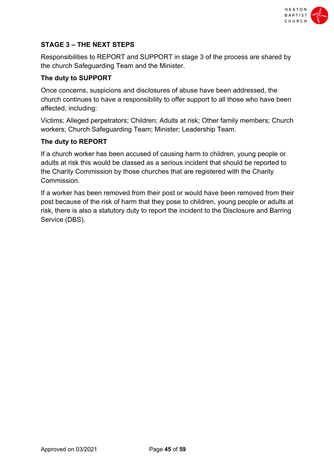

# **STAGE 3 – THE NEXT STEPS**

Responsibilities to REPORT and SUPPORT in stage 3 of the process are shared by the church Safeguarding Team and the Minister.

# **The duty to SUPPORT**

Once concerns, suspicions and disclosures of abuse have been addressed, the church continues to have a responsibility to offer support to all those who have been affected, including:

Victims; Alleged perpetrators; Children; Adults at risk; Other family members; Church workers; Church Safeguarding Team; Minister; Leadership Team.

# **The duty to REPORT**

If a church worker has been accused of causing harm to children, young people or adults at risk this would be classed as a serious incident that should be reported to the Charity Commission by those churches that are registered with the Charity Commission.

If a worker has been removed from their post or would have been removed from their post because of the risk of harm that they pose to children, young people or adults at risk, there is also a statutory duty to report the incident to the Disclosure and Barring Service (DBS).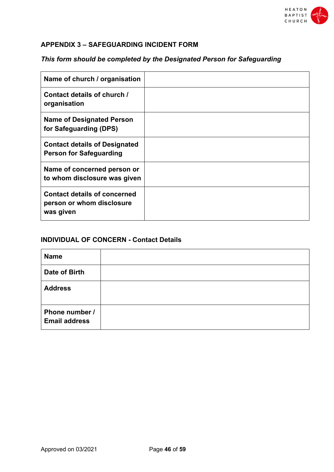

# **APPENDIX 3 – SAFEGUARDING INCIDENT FORM**

# *This form should be completed by the Designated Person for Safeguarding*

| Name of church / organisation                                                 |  |
|-------------------------------------------------------------------------------|--|
| Contact details of church /<br>organisation                                   |  |
| <b>Name of Designated Person</b><br>for Safeguarding (DPS)                    |  |
| <b>Contact details of Designated</b><br><b>Person for Safeguarding</b>        |  |
| Name of concerned person or<br>to whom disclosure was given                   |  |
| <b>Contact details of concerned</b><br>person or whom disclosure<br>was given |  |

# **INDIVIDUAL OF CONCERN - Contact Details**

| <b>Name</b>                            |  |
|----------------------------------------|--|
| <b>Date of Birth</b>                   |  |
| <b>Address</b>                         |  |
| Phone number /<br><b>Email address</b> |  |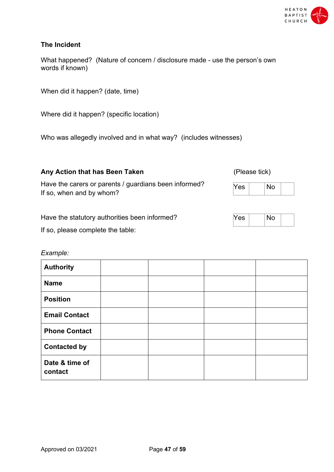

# **The Incident**

What happened? (Nature of concern / disclosure made - use the person's own words if known)

When did it happen? (date, time)

Where did it happen? (specific location)

Who was allegedly involved and in what way? (includes witnesses)

# Any Action that has Been Taken *Any Action that has Been Taken Please tick*

Have the carers or parents / guardians been informed? If so, when and by whom?

Have the statutory authorities been informed?

If so, please complete the table:

#### *Example:*

| <b>Authority</b>          |  |  |
|---------------------------|--|--|
| <b>Name</b>               |  |  |
| <b>Position</b>           |  |  |
| <b>Email Contact</b>      |  |  |
| <b>Phone Contact</b>      |  |  |
| <b>Contacted by</b>       |  |  |
| Date & time of<br>contact |  |  |

| -<br>≃ |  |  |  |
|--------|--|--|--|
|--------|--|--|--|

|--|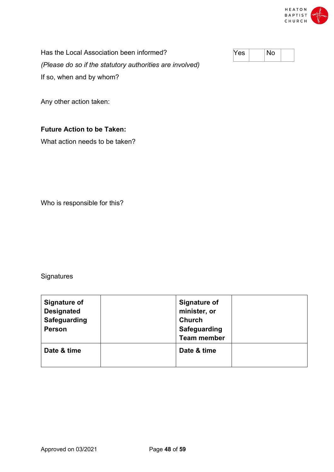

Has the Local Association been informed? *(Please do so if the statutory authorities are involved)* If so, when and by whom?

Any other action taken:

# **Future Action to be Taken:**

What action needs to be taken?

Who is responsible for this?

**Signatures** 

| <b>Signature of</b><br><b>Designated</b><br><b>Safeguarding</b><br><b>Person</b> | <b>Signature of</b><br>minister, or<br><b>Church</b><br><b>Safeguarding</b><br><b>Team member</b> |  |
|----------------------------------------------------------------------------------|---------------------------------------------------------------------------------------------------|--|
| Date & time                                                                      | Date & time                                                                                       |  |

| ρς |  |  |  |
|----|--|--|--|
|----|--|--|--|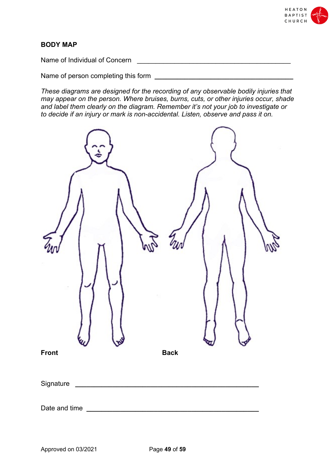

# **BODY MAP**

Name of Individual of Concern \_\_\_\_\_\_\_\_\_\_\_\_\_\_\_\_\_\_\_\_\_\_\_\_\_\_\_\_\_\_\_\_\_\_\_\_\_\_\_\_\_

Name of person completing this form **Letter Lines and Section** 2014 12:00 and 2016

*These diagrams are designed for the recording of any observable bodily injuries that may appear on the person. Where bruises, burns, cuts, or other injuries occur, shade and label them clearly on the diagram. Remember it's not your job to investigate or to decide if an injury or mark is non-accidental. Listen, observe and pass it on.*

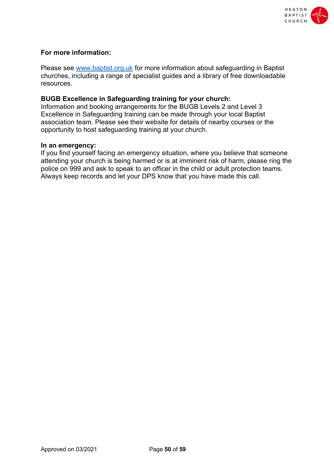

#### **For more information:**

Please see www.baptist.org.uk for more information about safeguarding in Baptist churches, including a range of specialist guides and a library of free downloadable resources.

#### **BUGB Excellence in Safeguarding training for your church:**

Information and booking arrangements for the BUGB Levels 2 and Level 3 Excellence in Safeguarding training can be made through your local Baptist association team. Please see their website for details of nearby courses or the opportunity to host safeguarding training at your church.

#### **In an emergency:**

If you find yourself facing an emergency situation, where you believe that someone attending your church is being harmed or is at imminent risk of harm, please ring the police on 999 and ask to speak to an officer in the child or adult protection teams. Always keep records and let your DPS know that you have made this call.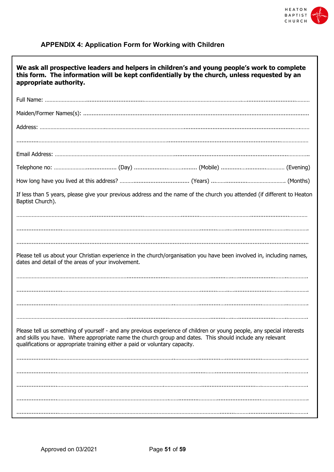

# **APPENDIX 4: Application Form for Working with Children**

| We ask all prospective leaders and helpers in children's and young people's work to complete<br>this form. The information will be kept confidentially by the church, unless requested by an<br>appropriate authority.                                                                                           |
|------------------------------------------------------------------------------------------------------------------------------------------------------------------------------------------------------------------------------------------------------------------------------------------------------------------|
|                                                                                                                                                                                                                                                                                                                  |
|                                                                                                                                                                                                                                                                                                                  |
|                                                                                                                                                                                                                                                                                                                  |
|                                                                                                                                                                                                                                                                                                                  |
|                                                                                                                                                                                                                                                                                                                  |
|                                                                                                                                                                                                                                                                                                                  |
|                                                                                                                                                                                                                                                                                                                  |
| If less than 5 years, please give your previous address and the name of the church you attended (if different to Heaton<br>Baptist Church).                                                                                                                                                                      |
|                                                                                                                                                                                                                                                                                                                  |
|                                                                                                                                                                                                                                                                                                                  |
|                                                                                                                                                                                                                                                                                                                  |
| Please tell us about your Christian experience in the church/organisation you have been involved in, including names,<br>dates and detail of the areas of your involvement.                                                                                                                                      |
|                                                                                                                                                                                                                                                                                                                  |
|                                                                                                                                                                                                                                                                                                                  |
|                                                                                                                                                                                                                                                                                                                  |
|                                                                                                                                                                                                                                                                                                                  |
| Please tell us something of yourself - and any previous experience of children or young people, any special interests<br>and skills you have. Where appropriate name the church group and dates. This should include any relevant<br>qualifications or appropriate training either a paid or voluntary capacity. |
|                                                                                                                                                                                                                                                                                                                  |
|                                                                                                                                                                                                                                                                                                                  |
|                                                                                                                                                                                                                                                                                                                  |
|                                                                                                                                                                                                                                                                                                                  |
|                                                                                                                                                                                                                                                                                                                  |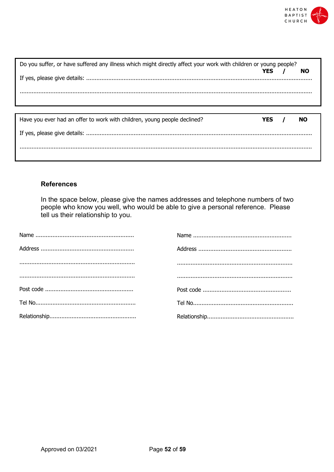

| Do you suffer, or have suffered any illness which might directly affect your work with children or young people? |       |  |           |  |  |  |  |  |  |
|------------------------------------------------------------------------------------------------------------------|-------|--|-----------|--|--|--|--|--|--|
|                                                                                                                  | YFS.  |  | NO.       |  |  |  |  |  |  |
|                                                                                                                  |       |  |           |  |  |  |  |  |  |
|                                                                                                                  |       |  |           |  |  |  |  |  |  |
|                                                                                                                  |       |  |           |  |  |  |  |  |  |
| Have you ever had an offer to work with children, young people declined?                                         | YES / |  | <b>NO</b> |  |  |  |  |  |  |
|                                                                                                                  |       |  |           |  |  |  |  |  |  |
|                                                                                                                  |       |  |           |  |  |  |  |  |  |
|                                                                                                                  |       |  |           |  |  |  |  |  |  |

# **References**

In the space below, please give the names addresses and telephone numbers of two people who know you well, who would be able to give a personal reference. Please tell us their relationship to you.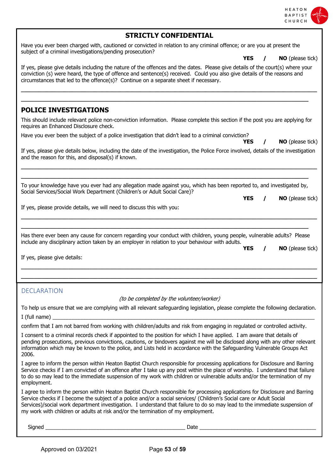| CHURCH                                                                                                                                                                                                                                                                                                                                                                                                                                                                 |
|------------------------------------------------------------------------------------------------------------------------------------------------------------------------------------------------------------------------------------------------------------------------------------------------------------------------------------------------------------------------------------------------------------------------------------------------------------------------|
| <b>STRICTLY CONFIDENTIAL</b>                                                                                                                                                                                                                                                                                                                                                                                                                                           |
| Have you ever been charged with, cautioned or convicted in relation to any criminal offence; or are you at present the<br>subject of a criminal investigations/pending prosecution?                                                                                                                                                                                                                                                                                    |
| <b>YES</b><br><b>NO</b> (please tick)                                                                                                                                                                                                                                                                                                                                                                                                                                  |
| If yes, please give details including the nature of the offences and the dates. Please give details of the court(s) where your<br>conviction (s) were heard, the type of offence and sentence(s) received. Could you also give details of the reasons and<br>circumstances that led to the offence(s)? Continue on a separate sheet if necessary.                                                                                                                      |
|                                                                                                                                                                                                                                                                                                                                                                                                                                                                        |
| <b>POLICE INVESTIGATIONS</b>                                                                                                                                                                                                                                                                                                                                                                                                                                           |
| This should include relevant police non-conviction information. Please complete this section if the post you are applying for<br>requires an Enhanced Disclosure check.                                                                                                                                                                                                                                                                                                |
| Have you ever been the subject of a police investigation that didn't lead to a criminal conviction?<br>NO (please tick)<br>YES                                                                                                                                                                                                                                                                                                                                         |
| If yes, please give details below, including the date of the investigation, the Police Force involved, details of the investigation<br>and the reason for this, and disposal(s) if known.                                                                                                                                                                                                                                                                              |
|                                                                                                                                                                                                                                                                                                                                                                                                                                                                        |
| To your knowledge have you ever had any allegation made against you, which has been reported to, and investigated by,<br>Social Services/Social Work Department (Children's or Adult Social Care)?                                                                                                                                                                                                                                                                     |
| <b>YES</b><br><b>NO</b> (please tick)<br>$\prime$                                                                                                                                                                                                                                                                                                                                                                                                                      |
| If yes, please provide details, we will need to discuss this with you:                                                                                                                                                                                                                                                                                                                                                                                                 |
| Has there ever been any cause for concern regarding your conduct with children, young people, vulnerable adults? Please<br>include any disciplinary action taken by an employer in relation to your behaviour with adults.<br><b>YES</b><br><b>NO</b> (please tick)<br>If yes, please give details:                                                                                                                                                                    |
|                                                                                                                                                                                                                                                                                                                                                                                                                                                                        |
| <b>DECLARATION</b><br>(to be completed by the volunteer/worker)                                                                                                                                                                                                                                                                                                                                                                                                        |
| To help us ensure that we are complying with all relevant safeguarding legislation, please complete the following declaration.                                                                                                                                                                                                                                                                                                                                         |
|                                                                                                                                                                                                                                                                                                                                                                                                                                                                        |
| confirm that I am not barred from working with children/adults and risk from engaging in regulated or controlled activity.                                                                                                                                                                                                                                                                                                                                             |
| I consent to a criminal records check if appointed to the position for which I have applied. I am aware that details of<br>pending prosecutions, previous convictions, cautions, or bindovers against me will be disclosed along with any other relevant<br>information which may be known to the police, and Lists held in accordance with the Safeguarding Vulnerable Groups Act<br>2006.                                                                            |
| I agree to inform the person within Heaton Baptist Church responsible for processing applications for Disclosure and Barring<br>Service checks if I am convicted of an offence after I take up any post within the place of worship. I understand that failure<br>to do so may lead to the immediate suspension of my work with children or vulnerable adults and/or the termination of my<br>employment.                                                              |
| I agree to inform the person within Heaton Baptist Church responsible for processing applications for Disclosure and Barring<br>Service checks if I become the subject of a police and/or a social services/ (Children's Social care or Adult Social<br>Services)/social work department investigation. I understand that failure to do so may lead to the immediate suspension of<br>my work with children or adults at risk and/or the termination of my employment. |
| Signed<br>Date_                                                                                                                                                                                                                                                                                                                                                                                                                                                        |

HEATON<br>BAPTIST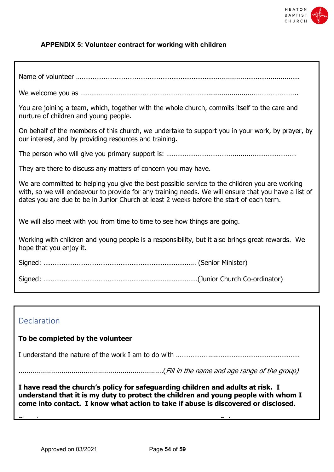

#### **APPENDIX 5: Volunteer contract for working with children**

| You are joining a team, which, together with the whole church, commits itself to the care and<br>nurture of children and young people.                                                                                                                                                             |
|----------------------------------------------------------------------------------------------------------------------------------------------------------------------------------------------------------------------------------------------------------------------------------------------------|
| On behalf of the members of this church, we undertake to support you in your work, by prayer, by<br>our interest, and by providing resources and training.                                                                                                                                         |
|                                                                                                                                                                                                                                                                                                    |
| They are there to discuss any matters of concern you may have.                                                                                                                                                                                                                                     |
| We are committed to helping you give the best possible service to the children you are working<br>with, so we will endeavour to provide for any training needs. We will ensure that you have a list of<br>dates you are due to be in Junior Church at least 2 weeks before the start of each term. |
| We will also meet with you from time to time to see how things are going.                                                                                                                                                                                                                          |
| Working with children and young people is a responsibility, but it also brings great rewards. We<br>hope that you enjoy it.                                                                                                                                                                        |
|                                                                                                                                                                                                                                                                                                    |
|                                                                                                                                                                                                                                                                                                    |

# Declaration

# **To be completed by the volunteer**

Date: ……………………………………

I understand the nature of the work I am to do with ………………....………………………………………

.......................................................................(Fill in the name and age range of the group)

**I have read the church's policy for safeguarding children and adults at risk. I understand that it is my duty to protect the children and young people with whom I come into contact. I know what action to take if abuse is discovered or disclosed.**

 $S_{\rm{max}}$  ,  $\sim$   $S_{\rm{max}}$  ,  $\sim$   $S_{\rm{max}}$  ,  $\sim$   $\sim$   $S_{\rm{max}}$  ,  $\sim$   $S_{\rm{max}}$  ,  $\sim$   $S_{\rm{max}}$  ,  $\sim$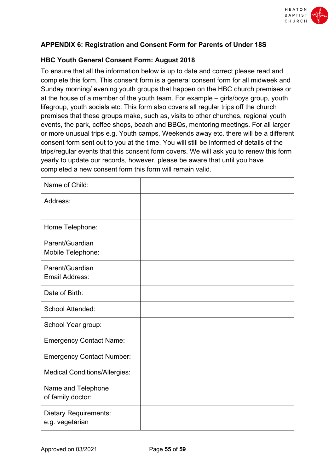

# **APPENDIX 6: Registration and Consent Form for Parents of Under 18S**

# **HBC Youth General Consent Form: August 2018**

To ensure that all the information below is up to date and correct please read and complete this form. This consent form is a general consent form for all midweek and Sunday morning/ evening youth groups that happen on the HBC church premises or at the house of a member of the youth team. For example – girls/boys group, youth lifegroup, youth socials etc. This form also covers all regular trips off the church premises that these groups make, such as, visits to other churches, regional youth events, the park, coffee shops, beach and BBQs, mentoring meetings. For all larger or more unusual trips e.g. Youth camps, Weekends away etc. there will be a different consent form sent out to you at the time. You will still be informed of details of the trips/regular events that this consent form covers. We will ask you to renew this form yearly to update our records, however, please be aware that until you have completed a new consent form this form will remain valid.

| Name of Child:                                  |  |
|-------------------------------------------------|--|
| Address:                                        |  |
| Home Telephone:                                 |  |
| Parent/Guardian<br>Mobile Telephone:            |  |
| Parent/Guardian<br><b>Email Address:</b>        |  |
| Date of Birth:                                  |  |
| <b>School Attended:</b>                         |  |
| School Year group:                              |  |
| <b>Emergency Contact Name:</b>                  |  |
| <b>Emergency Contact Number:</b>                |  |
| <b>Medical Conditions/Allergies:</b>            |  |
| Name and Telephone<br>of family doctor:         |  |
| <b>Dietary Requirements:</b><br>e.g. vegetarian |  |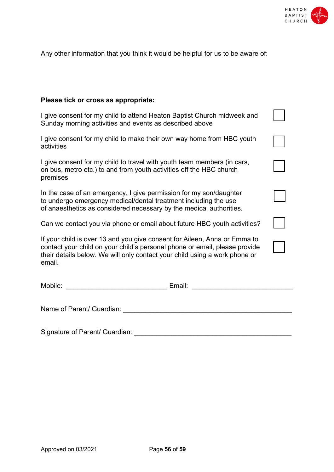

Any other information that you think it would be helpful for us to be aware of:

# **Please tick or cross as appropriate:**

| I give consent for my child to attend Heaton Baptist Church midweek and<br>Sunday morning activities and events as described above                                                                                                              |  |  |  |  |  |  |  |  |  |
|-------------------------------------------------------------------------------------------------------------------------------------------------------------------------------------------------------------------------------------------------|--|--|--|--|--|--|--|--|--|
| I give consent for my child to make their own way home from HBC youth<br>activities                                                                                                                                                             |  |  |  |  |  |  |  |  |  |
| I give consent for my child to travel with youth team members (in cars,<br>on bus, metro etc.) to and from youth activities off the HBC church<br>premises                                                                                      |  |  |  |  |  |  |  |  |  |
| In the case of an emergency, I give permission for my son/daughter<br>to undergo emergency medical/dental treatment including the use<br>of anaesthetics as considered necessary by the medical authorities.                                    |  |  |  |  |  |  |  |  |  |
| Can we contact you via phone or email about future HBC youth activities?                                                                                                                                                                        |  |  |  |  |  |  |  |  |  |
| If your child is over 13 and you give consent for Aileen, Anna or Emma to<br>contact your child on your child's personal phone or email, please provide<br>their details below. We will only contact your child using a work phone or<br>email. |  |  |  |  |  |  |  |  |  |
| Email: <u>___________________</u>                                                                                                                                                                                                               |  |  |  |  |  |  |  |  |  |
| Name of Parent/ Guardian:                                                                                                                                                                                                                       |  |  |  |  |  |  |  |  |  |

Signature of Parent/ Guardian: \_\_\_\_\_\_\_\_\_\_\_\_\_\_\_\_\_\_\_\_\_\_\_\_\_\_\_\_\_\_\_\_\_\_\_\_\_\_\_\_\_\_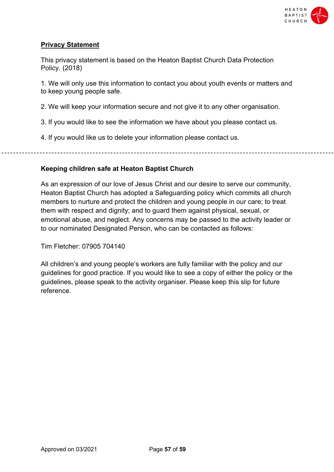

# **Privacy Statement**

This privacy statement is based on the Heaton Baptist Church Data Protection Policy. (2018)

1. We will only use this information to contact you about youth events or matters and to keep young people safe.

2. We will keep your information secure and not give it to any other organisation.

3. If you would like to see the information we have about you please contact us.

4. If you would like us to delete your information please contact us.

# **Keeping children safe at Heaton Baptist Church**

As an expression of our love of Jesus Christ and our desire to serve our community, Heaton Baptist Church has adopted a Safeguarding policy which commits all church members to nurture and protect the children and young people in our care; to treat them with respect and dignity; and to guard them against physical, sexual, or emotional abuse, and neglect. Any concerns may be passed to the activity leader or to our nominated Designated Person, who can be contacted as follows:

Tim Fletcher: 07905 704140

All children's and young people's workers are fully familiar with the policy and our guidelines for good practice. If you would like to see a copy of either the policy or the guidelines, please speak to the activity organiser. Please keep this slip for future reference.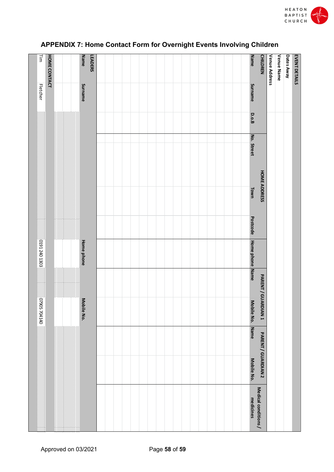

| $\frac{1}{2}$   | <b>HOME CONTACT</b> | Name              | <b>LEADERS</b> |  |  |  |  |  |  |  | Name            | <b>CHILDREN</b>      | Venue Address | Venue Name | Dates Away | <b>EVENT DETAILS</b> |
|-----------------|---------------------|-------------------|----------------|--|--|--|--|--|--|--|-----------------|----------------------|---------------|------------|------------|----------------------|
| <b>Fletcher</b> |                     | Surname           |                |  |  |  |  |  |  |  | Surname         |                      |               |            |            |                      |
|                 |                     |                   |                |  |  |  |  |  |  |  | <b>D.o.B</b>    |                      |               |            |            |                      |
|                 |                     |                   |                |  |  |  |  |  |  |  |                 |                      |               |            |            |                      |
|                 |                     |                   |                |  |  |  |  |  |  |  | No. Street      |                      |               |            |            |                      |
|                 |                     |                   |                |  |  |  |  |  |  |  | Town            | <b>HOME ADDRESS</b>  |               |            |            |                      |
|                 |                     |                   |                |  |  |  |  |  |  |  | Postcode        |                      |               |            |            |                      |
| 0191 240 1303   |                     | <b>Home phone</b> |                |  |  |  |  |  |  |  | Home phone Name |                      |               |            |            |                      |
| ł               |                     |                   |                |  |  |  |  |  |  |  |                 |                      |               |            |            |                      |
| 07905 704140    |                     | Mobile No.        |                |  |  |  |  |  |  |  | Mobile No.      | PARENT/GUARDIAN 1    |               |            |            |                      |
|                 |                     |                   |                |  |  |  |  |  |  |  | Name            |                      |               |            |            |                      |
|                 |                     |                   |                |  |  |  |  |  |  |  | Mobile No.      | PARENT / GUARDIAN 2  |               |            |            |                      |
|                 |                     |                   |                |  |  |  |  |  |  |  | medicines       | Medical conditions / |               |            |            |                      |

# **APPENDIX 7: Home Contact Form for Overnight Events Involving Children**